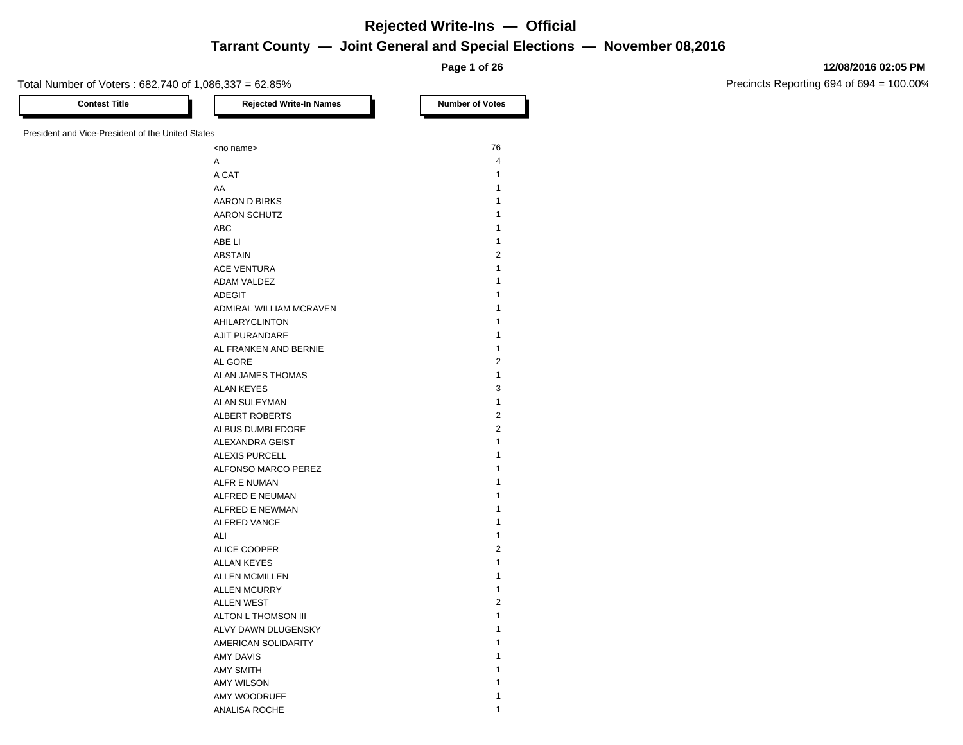**Page 1 of 26**

#### **12/08/2016 02:05 PM**

Precincts Reporting 694 of 694 = 100.00%

Total Number of Voters : 682,740 of 1,086,337 = 62.85%

**Contest Title Rejected Write-In Names Number of Votes** President and Vice-President of the United States<br>
so name>
<br>
76  $A$  and  $A$  $\overline{a}$  A CAT  $\overline{a}$  1  $AA$  and  $1$ AARON D BIRKS 1 AARON SCHUTZ 1 ABC 2008 1 2009 1 2009 1 2009 1 2009 1 2009 1 2009 1 2009 1 2009 1 2009 1 2009 1 2009 1 2009 1 2009 1 2009 1 2009 1 2009 1 2009 1 2009 1 2009 1 2009 1 2009 1 2009 1 2009 1 2009 1 2009 1 2009 1 2009 1 2009 1 2009 1 2009 1 2 ABE LI 2008 and 2009 and 2009 and 2009 and 2009 and 2009 and 2009 and 2009 and 2009 and 2009 and 2009 and 2009 ABSTAIN 2 ACE VENTURA 1 ADAM VALDEZ 1 ADEGIT AND INTERNATIONAL CONTRACT AND A SERVICE AND INTERNATIONAL CONTRACT OF A SERVICE AND INTERNATIONAL CONTRACT OF A SERVICE OF A SERVICE OF A SERVICE OF A SERVICE OF A SERVICE OF A SERVICE OF A SERVICE OF A SERVICE OF ADMIRAL WILLIAM MCRAVEN 1 AHILARYCLINTON 1 AJIT PURANDARE 1 AL FRANKEN AND BERNIE 1 AL GORE 2 ALAN JAMES THOMAS 1 ALAN KEYES 3 ALAN SULEYMAN 1 ALBERT ROBERTS 2 ALBUS DUMBLEDORE 2 ALEXANDRA GEIST 1 ALEXIS PURCELL **1** ALFONSO MARCO PEREZ 1 ALFR E NUMAN 1 ALFRED E NEUMAN 1 ALFRED E NEWMAN 1 ALFRED VANCE 1 ALI 1989 - 1989 - 1989 - 1989 - 1989 - 1989 - 1989 - 1989 - 1989 - 1989 - 1989 - 1989 - 1989 - 1989 - 1989 - 1 ALICE COOPER 2 ALLAN KEYES 1 ALLEN MCMILLEN 1 ALLEN MCURRY 1 ALLEN WEST 2 ALTON L THOMSON III 1

> ALVY DAWN DLUGENSKY 1 AMERICAN SOLIDARITY 1 AMY DAVIS 2008 2009 12:00:00 12:00:00 12:00:00 12:00:00 12:00:00 12:00:00 12:00:00 12:00:00 12:00:00 12:00:00 12:00:00 12:00:00 12:00:00 12:00:00 12:00:00 12:00:00 12:00:00 12:00:00 12:00:00 12:00:00 12:00:00 12:00:00 12:0 AMY SMITH 1 AMY WILSON 2008 120 NM 2008 120 NM 2008 120 NM 2008 120 NM 2008 120 NM 2008 120 NM 2008 120 NM 2008 120 NM 200 AMY WOODRUFF 1 ANALISA ROCHE 1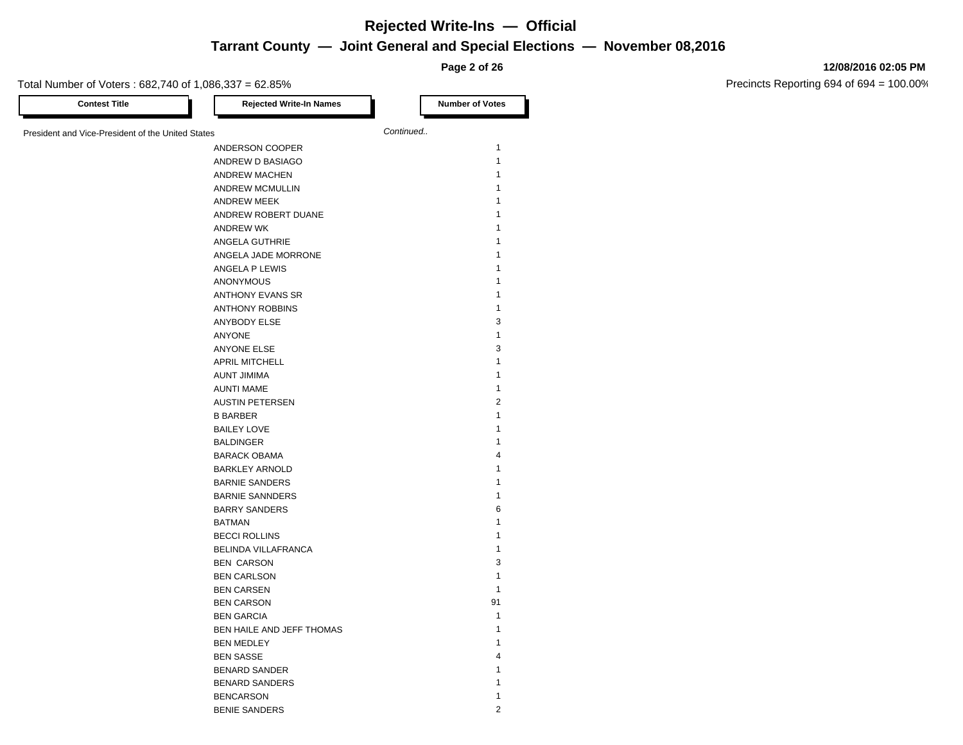**Page 2 of 26**

#### Total Number of Voters : 682,740 of 1,086,337 = 62.85%

**12/08/2016 02:05 PM**

| <b>Contest Title</b>                              | <b>Rejected Write-In Names</b> |           | <b>Number of Votes</b> |
|---------------------------------------------------|--------------------------------|-----------|------------------------|
| President and Vice-President of the United States |                                | Continued |                        |
|                                                   | ANDERSON COOPER                |           | $\mathbf{1}$           |
|                                                   | ANDREW D BASIAGO               |           | $\mathbf{1}$           |
|                                                   | <b>ANDREW MACHEN</b>           |           | 1                      |
|                                                   | <b>ANDREW MCMULLIN</b>         |           | 1                      |
|                                                   | <b>ANDREW MEEK</b>             |           | 1                      |
|                                                   | ANDREW ROBERT DUANE            |           | 1                      |
|                                                   | <b>ANDREW WK</b>               |           | 1                      |
|                                                   | ANGELA GUTHRIE                 |           | 1                      |
|                                                   | ANGELA JADE MORRONE            |           | 1                      |
|                                                   | ANGELA P LEWIS                 |           | 1                      |
|                                                   |                                |           | 1                      |
|                                                   | ANONYMOUS<br>ANTHONY EVANS SR  |           | 1                      |
|                                                   |                                |           | $\mathbf{1}$           |
|                                                   | <b>ANTHONY ROBBINS</b>         |           |                        |
|                                                   | <b>ANYBODY ELSE</b>            |           | 3                      |
|                                                   | <b>ANYONE</b>                  |           | $\mathbf{1}$           |
|                                                   | <b>ANYONE ELSE</b>             |           | 3                      |
|                                                   | APRIL MITCHELL                 |           | $\mathbf{1}$           |
|                                                   | <b>AUNT JIMIMA</b>             |           | 1                      |
|                                                   | <b>AUNTI MAME</b>              |           | 1                      |
|                                                   | <b>AUSTIN PETERSEN</b>         |           | 2                      |
|                                                   | <b>B BARBER</b>                |           | 1                      |
|                                                   | <b>BAILEY LOVE</b>             |           | $\mathbf{1}$           |
|                                                   | <b>BALDINGER</b>               |           | 1                      |
|                                                   | <b>BARACK OBAMA</b>            |           | 4                      |
|                                                   | <b>BARKLEY ARNOLD</b>          |           | 1                      |
|                                                   | <b>BARNIE SANDERS</b>          |           | $\mathbf{1}$           |
|                                                   | <b>BARNIE SANNDERS</b>         |           | 1                      |
|                                                   | <b>BARRY SANDERS</b>           |           | 6                      |
|                                                   | <b>BATMAN</b>                  |           | $\mathbf{1}$           |
|                                                   | <b>BECCI ROLLINS</b>           |           | $\mathbf{1}$           |
|                                                   | BELINDA VILLAFRANCA            |           | $\mathbf{1}$           |
|                                                   | <b>BEN CARSON</b>              |           | 3                      |
|                                                   | <b>BEN CARLSON</b>             |           | $\mathbf{1}$           |
|                                                   | <b>BEN CARSEN</b>              |           | $\mathbf{1}$           |
|                                                   | <b>BEN CARSON</b>              |           | 91                     |
|                                                   | <b>BEN GARCIA</b>              |           | $\mathbf{1}$           |
|                                                   | BEN HAILE AND JEFF THOMAS      |           | 1                      |
|                                                   | <b>BEN MEDLEY</b>              |           | $\mathbf{1}$           |
|                                                   | <b>BEN SASSE</b>               |           | 4                      |
|                                                   | <b>BENARD SANDER</b>           |           | $\mathbf{1}$           |
|                                                   | <b>BENARD SANDERS</b>          |           | 1                      |
|                                                   | <b>BENCARSON</b>               |           | 1                      |
|                                                   | <b>BENIE SANDERS</b>           |           | $\overline{2}$         |
|                                                   |                                |           |                        |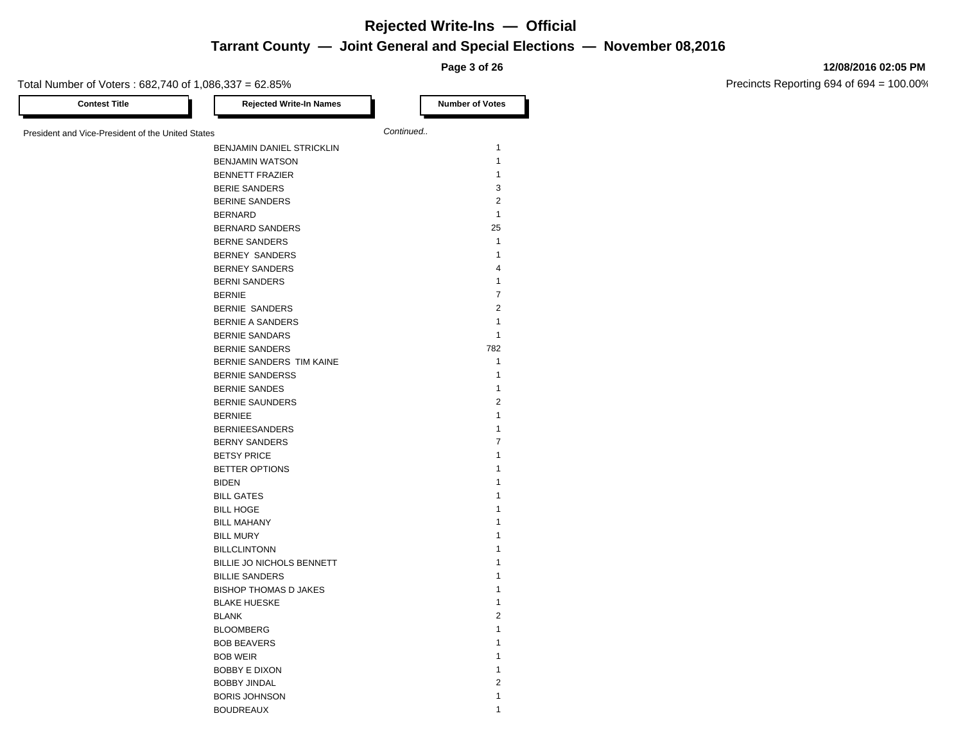**Page 3 of 26**

Total Number of Voters : 682,740 of 1,086,337 = 62.85%

| <b>Contest Title</b>                              | <b>Rejected Write-In Names</b> | <b>Number of Votes</b> |
|---------------------------------------------------|--------------------------------|------------------------|
| President and Vice-President of the United States |                                | Continued              |
|                                                   | BENJAMIN DANIEL STRICKLIN      | $\mathbf{1}$           |
|                                                   | <b>BENJAMIN WATSON</b>         | $\mathbf{1}$           |
|                                                   | <b>BENNETT FRAZIER</b>         | $\mathbf{1}$           |
|                                                   | <b>BERIE SANDERS</b>           | 3                      |
|                                                   | <b>BERINE SANDERS</b>          | $\overline{2}$         |
|                                                   | <b>BERNARD</b>                 | $\mathbf{1}$           |
|                                                   | <b>BERNARD SANDERS</b>         | 25                     |
|                                                   |                                | $\mathbf{1}$           |
|                                                   | <b>BERNE SANDERS</b>           | $\mathbf{1}$           |
|                                                   | BERNEY SANDERS                 | 4                      |
|                                                   | <b>BERNEY SANDERS</b>          |                        |
|                                                   | <b>BERNI SANDERS</b>           | $\mathbf{1}$           |
|                                                   | <b>BERNIE</b>                  | $\overline{7}$         |
|                                                   | BERNIE SANDERS                 | $\overline{2}$         |
|                                                   | <b>BERNIE A SANDERS</b>        | $\mathbf{1}$           |
|                                                   | <b>BERNIE SANDARS</b>          | $\mathbf{1}$           |
|                                                   | <b>BERNIE SANDERS</b>          | 782                    |
|                                                   | BERNIE SANDERS TIM KAINE       | $\mathbf{1}$           |
|                                                   | <b>BERNIE SANDERSS</b>         | $\mathbf{1}$           |
|                                                   | <b>BERNIE SANDES</b>           | $\mathbf{1}$           |
|                                                   | <b>BERNIE SAUNDERS</b>         | $\overline{2}$         |
|                                                   | <b>BERNIEE</b>                 | $\mathbf{1}$           |
|                                                   | <b>BERNIEESANDERS</b>          | $\mathbf{1}$           |
|                                                   | <b>BERNY SANDERS</b>           | $\overline{7}$         |
|                                                   | <b>BETSY PRICE</b>             | $\mathbf{1}$           |
|                                                   | <b>BETTER OPTIONS</b>          | $\mathbf{1}$           |
|                                                   | <b>BIDEN</b>                   | 1                      |
|                                                   | <b>BILL GATES</b>              | $\mathbf{1}$           |
|                                                   | <b>BILL HOGE</b>               | 1                      |
|                                                   | <b>BILL MAHANY</b>             | $\mathbf{1}$           |
|                                                   | <b>BILL MURY</b>               | 1                      |
|                                                   | <b>BILLCLINTONN</b>            | $\mathbf{1}$           |
|                                                   | BILLIE JO NICHOLS BENNETT      | 1                      |
|                                                   | <b>BILLIE SANDERS</b>          | $\mathbf{1}$           |
|                                                   | <b>BISHOP THOMAS D JAKES</b>   | 1                      |
|                                                   | <b>BLAKE HUESKE</b>            | $\mathbf{1}$           |
|                                                   | <b>BLANK</b>                   | 2                      |
|                                                   | <b>BLOOMBERG</b>               | $\mathbf{1}$           |
|                                                   | <b>BOB BEAVERS</b>             | $\mathbf{1}$           |
|                                                   | <b>BOB WEIR</b>                | $\mathbf{1}$           |
|                                                   |                                | $\mathbf{1}$           |
|                                                   | <b>BOBBY E DIXON</b>           | $\overline{2}$         |
|                                                   | <b>BOBBY JINDAL</b>            |                        |
|                                                   | <b>BORIS JOHNSON</b>           | 1                      |
|                                                   | <b>BOUDREAUX</b>               | $\mathbf{1}$           |

#### **12/08/2016 02:05 PM**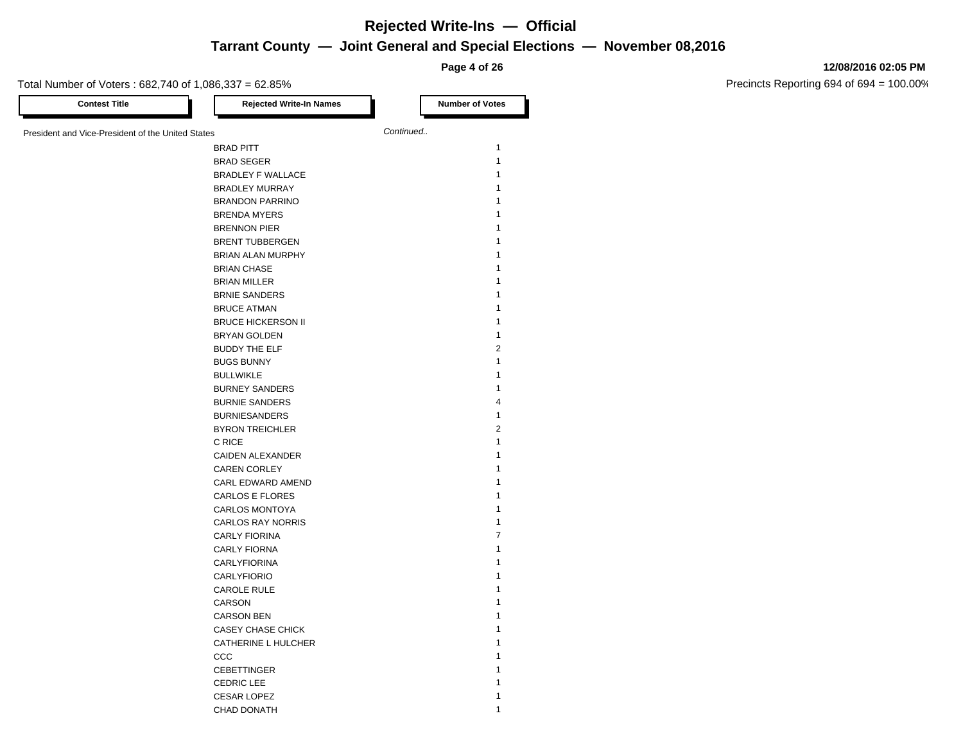**Page 4 of 26**

-r

#### Total Number of Voters : 682,740 of 1,086,337 = 62.85%

п

**12/08/2016 02:05 PM**

| <b>Contest Title</b>                              | <b>Rejected Write-In Names</b> |           | <b>Number of Votes</b> |
|---------------------------------------------------|--------------------------------|-----------|------------------------|
| President and Vice-President of the United States |                                | Continued |                        |
|                                                   | <b>BRAD PITT</b>               |           | $\mathbf{1}$           |
|                                                   | <b>BRAD SEGER</b>              |           | $\mathbf{1}$           |
|                                                   | <b>BRADLEY F WALLACE</b>       |           | 1                      |
|                                                   | <b>BRADLEY MURRAY</b>          |           | $\mathbf{1}$           |
|                                                   | <b>BRANDON PARRINO</b>         |           | $\mathbf{1}$           |
|                                                   | <b>BRENDA MYERS</b>            |           | $\mathbf{1}$           |
|                                                   | <b>BRENNON PIER</b>            |           | 1                      |
|                                                   | <b>BRENT TUBBERGEN</b>         |           | 1                      |
|                                                   | <b>BRIAN ALAN MURPHY</b>       |           | 1                      |
|                                                   | <b>BRIAN CHASE</b>             |           | 1                      |
|                                                   | <b>BRIAN MILLER</b>            |           | $\mathbf{1}$           |
|                                                   | <b>BRNIE SANDERS</b>           |           | 1                      |
|                                                   | <b>BRUCE ATMAN</b>             |           | $\mathbf{1}$           |
|                                                   | <b>BRUCE HICKERSON II</b>      |           | $\mathbf{1}$           |
|                                                   | <b>BRYAN GOLDEN</b>            |           | $\mathbf{1}$           |
|                                                   | <b>BUDDY THE ELF</b>           |           | $\overline{2}$         |
|                                                   | <b>BUGS BUNNY</b>              |           | $\mathbf{1}$           |
|                                                   | <b>BULLWIKLE</b>               |           | $\mathbf{1}$           |
|                                                   | <b>BURNEY SANDERS</b>          |           | 1                      |
|                                                   | <b>BURNIE SANDERS</b>          |           | $\overline{4}$         |
|                                                   | <b>BURNIESANDERS</b>           |           | $\mathbf{1}$           |
|                                                   | <b>BYRON TREICHLER</b>         |           | $\overline{2}$         |
|                                                   | C RICE                         |           | $\mathbf{1}$           |
|                                                   | CAIDEN ALEXANDER               |           | 1                      |
|                                                   | <b>CAREN CORLEY</b>            |           | 1                      |
|                                                   | CARL EDWARD AMEND              |           | 1                      |
|                                                   | <b>CARLOS E FLORES</b>         |           | 1                      |
|                                                   | <b>CARLOS MONTOYA</b>          |           | $\mathbf{1}$           |
|                                                   | <b>CARLOS RAY NORRIS</b>       |           | 1                      |
|                                                   | <b>CARLY FIORINA</b>           |           | $\overline{7}$         |
|                                                   | <b>CARLY FIORNA</b>            |           | $\mathbf{1}$           |
|                                                   | <b>CARLYFIORINA</b>            |           | 1                      |
|                                                   | <b>CARLYFIORIO</b>             |           | $\mathbf{1}$           |
|                                                   | <b>CAROLE RULE</b>             |           | $\mathbf{1}$           |
|                                                   | CARSON                         |           | 1                      |
|                                                   | <b>CARSON BEN</b>              |           | 1                      |
|                                                   | <b>CASEY CHASE CHICK</b>       |           | $\mathbf{1}$           |
|                                                   | CATHERINE L HULCHER            |           | $\mathbf{1}$           |
|                                                   | CCC                            |           | 1                      |
|                                                   | <b>CEBETTINGER</b>             |           | 1                      |
|                                                   | <b>CEDRIC LEE</b>              |           | 1                      |
|                                                   | <b>CESAR LOPEZ</b>             |           | 1                      |
|                                                   | <b>CHAD DONATH</b>             |           | $\mathbf{1}$           |
|                                                   |                                |           |                        |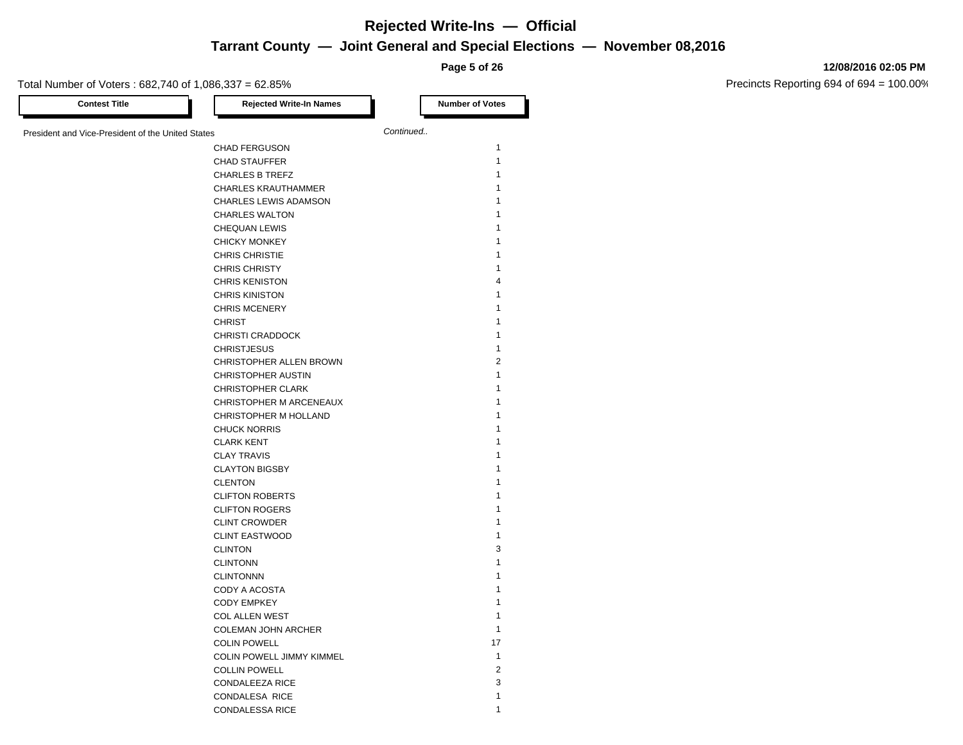**Page 5 of 26**

#### Total Number of Voters : 682,740 of 1,086,337 = 62.85%

**12/08/2016 02:05 PM**

| President and Vice-President of the United States | Continued      |
|---------------------------------------------------|----------------|
| <b>CHAD FERGUSON</b>                              | $\mathbf{1}$   |
| <b>CHAD STAUFFER</b>                              | 1              |
| <b>CHARLES B TREFZ</b>                            | 1              |
| <b>CHARLES KRAUTHAMMER</b>                        | 1              |
| <b>CHARLES LEWIS ADAMSON</b>                      | 1              |
| <b>CHARLES WALTON</b>                             | 1              |
| <b>CHEQUAN LEWIS</b>                              | 1              |
| <b>CHICKY MONKEY</b>                              | 1              |
| <b>CHRIS CHRISTIE</b>                             | 1              |
| <b>CHRIS CHRISTY</b>                              | 1              |
| <b>CHRIS KENISTON</b>                             | 4              |
|                                                   | 1              |
| <b>CHRIS KINISTON</b>                             | 1              |
| <b>CHRIS MCENERY</b>                              |                |
| <b>CHRIST</b>                                     | 1              |
| <b>CHRISTI CRADDOCK</b>                           | 1              |
| <b>CHRISTJESUS</b>                                | $\mathbf{1}$   |
| CHRISTOPHER ALLEN BROWN                           | $\overline{2}$ |
| <b>CHRISTOPHER AUSTIN</b>                         | 1              |
| <b>CHRISTOPHER CLARK</b>                          | 1              |
| CHRISTOPHER M ARCENEAUX                           | 1              |
| CHRISTOPHER M HOLLAND                             | 1              |
| <b>CHUCK NORRIS</b>                               | 1              |
| <b>CLARK KENT</b>                                 | 1              |
| <b>CLAY TRAVIS</b>                                | 1              |
| <b>CLAYTON BIGSBY</b>                             | 1              |
| <b>CLENTON</b>                                    | 1              |
| <b>CLIFTON ROBERTS</b>                            | 1              |
| <b>CLIFTON ROGERS</b>                             | 1              |
| <b>CLINT CROWDER</b>                              | 1              |
| <b>CLINT EASTWOOD</b>                             | 1              |
| <b>CLINTON</b>                                    | 3              |
| <b>CLINTONN</b>                                   | 1              |
| <b>CLINTONNN</b>                                  | 1              |
| CODY A ACOSTA                                     | 1              |
| <b>CODY EMPKEY</b>                                | 1              |
| <b>COL ALLEN WEST</b>                             | 1              |
| <b>COLEMAN JOHN ARCHER</b>                        | $\mathbf{1}$   |
| <b>COLIN POWELL</b>                               | 17             |
| COLIN POWELL JIMMY KIMMEL                         | $\mathbf{1}$   |
| <b>COLLIN POWELL</b>                              | 2              |
| <b>CONDALEEZA RICE</b>                            | 3              |
| <b>CONDALESA RICE</b>                             | 1              |
| <b>CONDALESSA RICE</b>                            | 1              |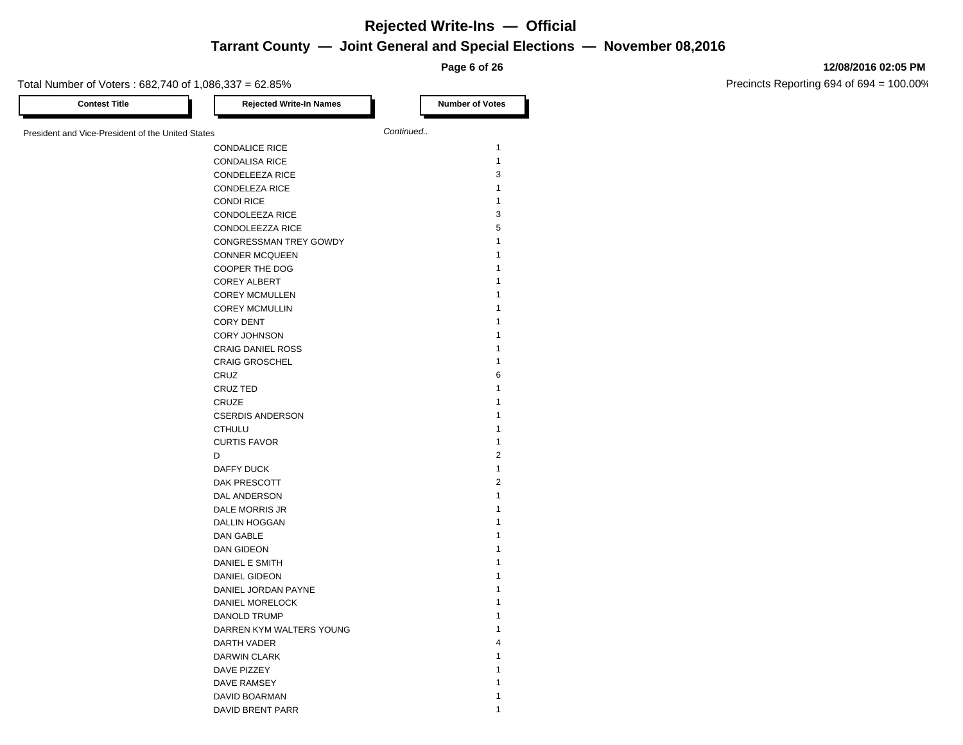**Page 6 of 26**

٦L,

-r

#### Total Number of Voters : 682,740 of 1,086,337 = 62.85%

┶┳

п

**12/08/2016 02:05 PM**

| <b>Contest Title</b>                              | <b>Rejected Write-In Names</b> |           | <b>Number of Votes</b> |
|---------------------------------------------------|--------------------------------|-----------|------------------------|
| President and Vice-President of the United States |                                | Continued |                        |
|                                                   | <b>CONDALICE RICE</b>          |           | $\mathbf{1}$           |
|                                                   | <b>CONDALISA RICE</b>          |           | $\mathbf{1}$           |
|                                                   | <b>CONDELEEZA RICE</b>         |           | 3                      |
|                                                   | <b>CONDELEZA RICE</b>          |           | $\mathbf{1}$           |
|                                                   | <b>CONDI RICE</b>              |           | $\mathbf{1}$           |
|                                                   | <b>CONDOLEEZA RICE</b>         |           | 3                      |
|                                                   | CONDOLEEZZA RICE               |           | 5                      |
|                                                   | CONGRESSMAN TREY GOWDY         |           | $\mathbf{1}$           |
|                                                   | <b>CONNER MCQUEEN</b>          |           | $\mathbf{1}$           |
|                                                   | COOPER THE DOG                 |           | 1                      |
|                                                   | <b>COREY ALBERT</b>            |           | $\mathbf{1}$           |
|                                                   | <b>COREY MCMULLEN</b>          |           | 1                      |
|                                                   | <b>COREY MCMULLIN</b>          |           | $\mathbf{1}$           |
|                                                   | <b>CORY DENT</b>               |           | 1                      |
|                                                   | <b>CORY JOHNSON</b>            |           | $\mathbf{1}$           |
|                                                   | <b>CRAIG DANIEL ROSS</b>       |           | 1                      |
|                                                   | <b>CRAIG GROSCHEL</b>          |           | $\mathbf{1}$           |
|                                                   | CRUZ                           |           | 6                      |
|                                                   | CRUZ TED                       |           | $\mathbf{1}$           |
|                                                   | <b>CRUZE</b>                   |           | 1                      |
|                                                   | <b>CSERDIS ANDERSON</b>        |           | $\mathbf{1}$           |
|                                                   | <b>CTHULU</b>                  |           | 1                      |
|                                                   | <b>CURTIS FAVOR</b>            |           | $\mathbf{1}$           |
|                                                   | D                              |           | $\overline{2}$         |
|                                                   | <b>DAFFY DUCK</b>              |           | $\mathbf{1}$           |
|                                                   | DAK PRESCOTT                   |           | 2                      |
|                                                   | DAL ANDERSON                   |           | $\mathbf{1}$           |
|                                                   | DALE MORRIS JR                 |           | $\mathbf{1}$           |
|                                                   | <b>DALLIN HOGGAN</b>           |           | 1                      |
|                                                   | <b>DAN GABLE</b>               |           | 1                      |
|                                                   | DAN GIDEON                     |           | $\mathbf{1}$           |
|                                                   | DANIEL E SMITH                 |           | 1                      |
|                                                   | <b>DANIEL GIDEON</b>           |           | 1                      |
|                                                   | DANIEL JORDAN PAYNE            |           | $\mathbf{1}$           |
|                                                   | DANIEL MORELOCK                |           | $\mathbf{1}$           |
|                                                   | DANOLD TRUMP                   |           | $\mathbf{1}$           |
|                                                   | DARREN KYM WALTERS YOUNG       |           | 1                      |
|                                                   | <b>DARTH VADER</b>             |           | $\overline{4}$         |
|                                                   | DARWIN CLARK                   |           | $\mathbf{1}$           |
|                                                   | DAVE PIZZEY                    |           | 1                      |
|                                                   | DAVE RAMSEY                    |           | $\mathbf{1}$           |
|                                                   | DAVID BOARMAN                  |           | 1                      |
|                                                   | DAVID BRENT PARR               |           | $\mathbf{1}$           |
|                                                   |                                |           |                        |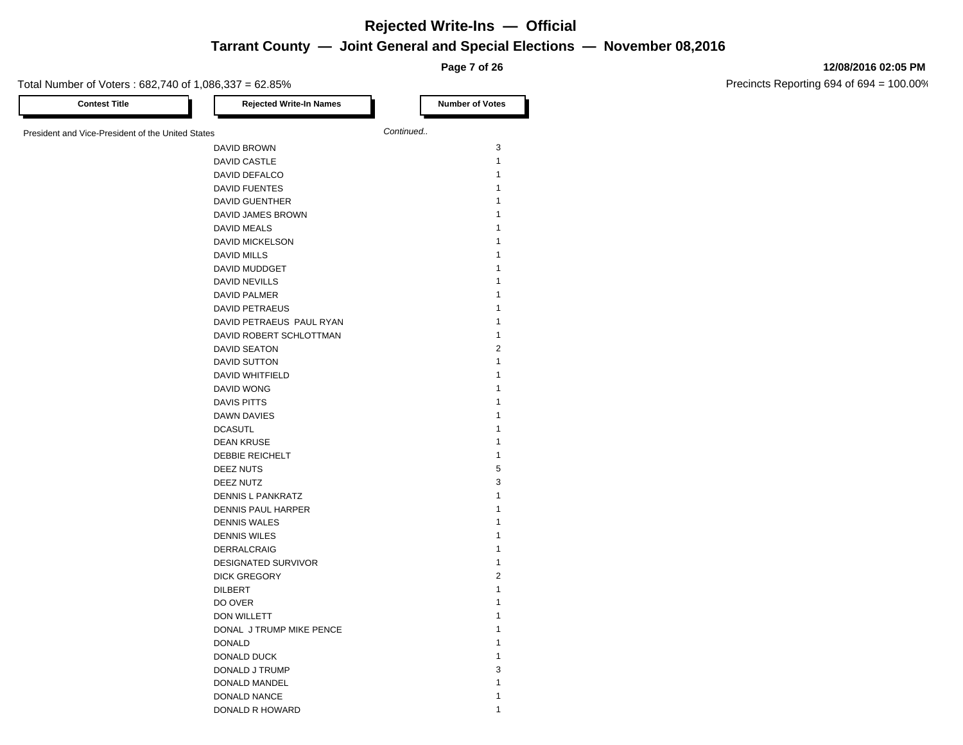**Page 7 of 26**

T.

-r

Total Number of Voters : 682,740 of 1,086,337 = 62.85%

г

| <b>Contest Title</b>                              | <b>Rejected Write-In Names</b>                    |           | <b>Number of Votes</b> |
|---------------------------------------------------|---------------------------------------------------|-----------|------------------------|
| President and Vice-President of the United States |                                                   | Continued |                        |
|                                                   | DAVID BROWN                                       |           | 3                      |
|                                                   | DAVID CASTLE                                      |           | $\mathbf{1}$           |
|                                                   | DAVID DEFALCO                                     |           | 1                      |
|                                                   | <b>DAVID FUENTES</b>                              |           | $\mathbf{1}$           |
|                                                   | <b>DAVID GUENTHER</b>                             |           | 1                      |
|                                                   | DAVID JAMES BROWN                                 |           | $\mathbf{1}$           |
|                                                   | <b>DAVID MEALS</b>                                |           | 1                      |
|                                                   | <b>DAVID MICKELSON</b>                            |           | $\mathbf{1}$           |
|                                                   | <b>DAVID MILLS</b>                                |           | 1                      |
|                                                   | DAVID MUDDGET                                     |           | $\mathbf{1}$           |
|                                                   | DAVID NEVILLS                                     |           | $\mathbf{1}$           |
|                                                   | <b>DAVID PALMER</b>                               |           | $\mathbf{1}$           |
|                                                   | <b>DAVID PETRAEUS</b>                             |           | $\mathbf{1}$           |
|                                                   | DAVID PETRAEUS PAUL RYAN                          |           | $\mathbf{1}$           |
|                                                   | DAVID ROBERT SCHLOTTMAN                           |           | $\mathbf{1}$           |
|                                                   | <b>DAVID SEATON</b>                               |           | $\overline{2}$         |
|                                                   | <b>DAVID SUTTON</b>                               |           | $\mathbf{1}$           |
|                                                   | <b>DAVID WHITFIELD</b>                            |           | 1                      |
|                                                   | DAVID WONG                                        |           | 1                      |
|                                                   | <b>DAVIS PITTS</b>                                |           | $\mathbf{1}$           |
|                                                   | DAWN DAVIES                                       |           | $\mathbf{1}$           |
|                                                   | <b>DCASUTL</b>                                    |           | 1                      |
|                                                   | <b>DEAN KRUSE</b>                                 |           | $\mathbf{1}$           |
|                                                   | <b>DEBBIE REICHELT</b>                            |           | $\mathbf{1}$           |
|                                                   | <b>DEEZ NUTS</b>                                  |           | 5                      |
|                                                   | DEEZ NUTZ                                         |           | 3                      |
|                                                   | DENNIS L PANKRATZ                                 |           | $\mathbf{1}$           |
|                                                   |                                                   |           | 1                      |
|                                                   | <b>DENNIS PAUL HARPER</b>                         |           | 1                      |
|                                                   | <b>DENNIS WALES</b>                               |           | $\mathbf{1}$           |
|                                                   | <b>DENNIS WILES</b>                               |           | $\mathbf{1}$           |
|                                                   | DERRALCRAIG                                       |           | $\mathbf{1}$           |
|                                                   | <b>DESIGNATED SURVIVOR</b><br><b>DICK GREGORY</b> |           | $\overline{2}$         |
|                                                   |                                                   |           | $\mathbf{1}$           |
|                                                   | <b>DILBERT</b>                                    |           |                        |
|                                                   | DO OVER                                           |           | 1<br>$\mathbf{1}$      |
|                                                   | DON WILLETT                                       |           |                        |
|                                                   | DONAL J TRUMP MIKE PENCE                          |           | 1                      |
|                                                   | <b>DONALD</b>                                     |           | $\mathbf{1}$           |
|                                                   | DONALD DUCK                                       |           | $\mathbf{1}$           |
|                                                   | DONALD J TRUMP                                    |           | 3                      |
|                                                   | DONALD MANDEL                                     |           | $\mathbf{1}$           |
|                                                   | DONALD NANCE                                      |           | 1                      |
|                                                   | DONALD R HOWARD                                   |           | $\mathbf{1}$           |

#### **12/08/2016 02:05 PM**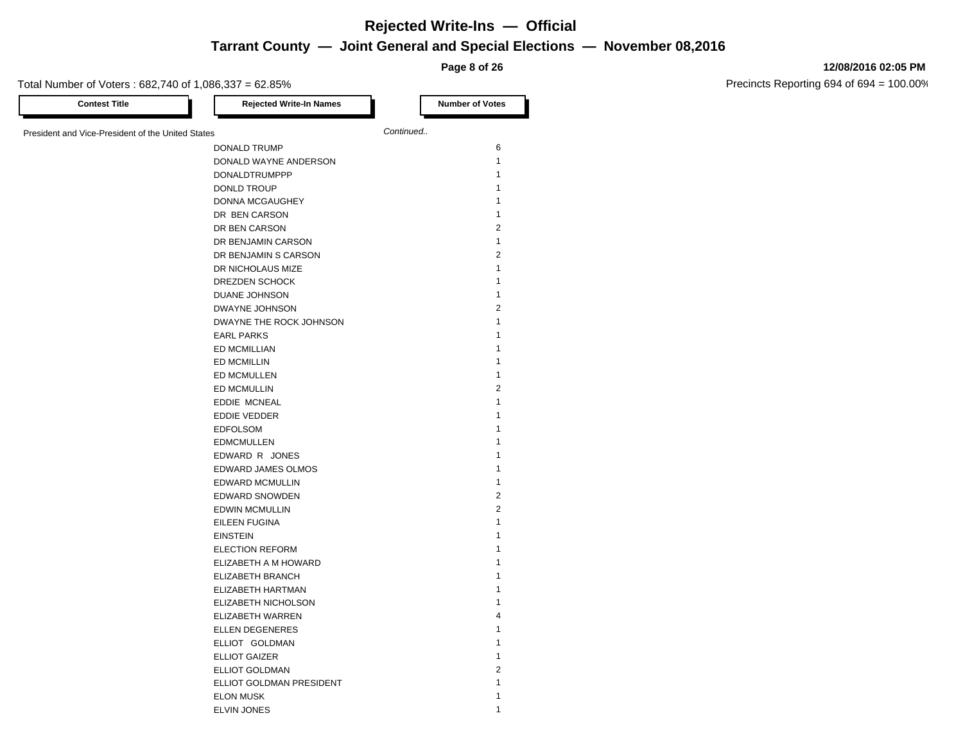**Page 8 of 26**

Total Number of Voters : 682,740 of 1,086,337 = 62.85%

| <b>Contest Title</b>                              | <b>Rejected Write-In Names</b> |           | <b>Number of Votes</b> |
|---------------------------------------------------|--------------------------------|-----------|------------------------|
| President and Vice-President of the United States |                                | Continued |                        |
|                                                   | DONALD TRUMP                   |           | 6                      |
|                                                   | DONALD WAYNE ANDERSON          |           | $\mathbf{1}$           |
|                                                   | DONALDTRUMPPP                  |           | 1                      |
|                                                   | DONLD TROUP                    |           | 1                      |
|                                                   | DONNA MCGAUGHEY                |           | 1                      |
|                                                   | DR BEN CARSON                  |           | $\mathbf{1}$           |
|                                                   | DR BEN CARSON                  |           | $\overline{2}$         |
|                                                   | DR BENJAMIN CARSON             |           | $\mathbf{1}$           |
|                                                   | DR BENJAMIN S CARSON           |           | $\overline{2}$         |
|                                                   | DR NICHOLAUS MIZE              |           | $\mathbf{1}$           |
|                                                   | DREZDEN SCHOCK                 |           | 1                      |
|                                                   | DUANE JOHNSON                  |           | $\mathbf{1}$           |
|                                                   | DWAYNE JOHNSON                 |           | $\overline{2}$         |
|                                                   | DWAYNE THE ROCK JOHNSON        |           | 1                      |
|                                                   | <b>EARL PARKS</b>              |           | 1                      |
|                                                   | ED MCMILLIAN                   |           | 1                      |
|                                                   | <b>ED MCMILLIN</b>             |           | 1                      |
|                                                   | ED MCMULLEN                    |           | 1                      |
|                                                   | ED MCMULLIN                    |           | $\overline{2}$         |
|                                                   | EDDIE MCNEAL                   |           | $\mathbf{1}$           |
|                                                   | EDDIE VEDDER                   |           | 1                      |
|                                                   | <b>EDFOLSOM</b>                |           | 1                      |
|                                                   | <b>EDMCMULLEN</b>              |           | 1                      |
|                                                   | EDWARD R JONES                 |           | 1                      |
|                                                   | EDWARD JAMES OLMOS             |           | 1                      |
|                                                   | <b>EDWARD MCMULLIN</b>         |           | 1                      |
|                                                   | <b>EDWARD SNOWDEN</b>          |           | $\overline{2}$         |
|                                                   | <b>EDWIN MCMULLIN</b>          |           | 2                      |
|                                                   | EILEEN FUGINA                  |           | 1                      |
|                                                   | <b>EINSTEIN</b>                |           | 1                      |
|                                                   | <b>ELECTION REFORM</b>         |           | 1                      |
|                                                   | ELIZABETH A M HOWARD           |           | 1                      |
|                                                   | ELIZABETH BRANCH               |           | 1                      |
|                                                   | ELIZABETH HARTMAN              |           | 1                      |
|                                                   | ELIZABETH NICHOLSON            |           | 1                      |
|                                                   | ELIZABETH WARREN               |           | 4                      |
|                                                   | ELLEN DEGENERES                |           | 1                      |
|                                                   | ELLIOT GOLDMAN                 |           | 1                      |
|                                                   | <b>ELLIOT GAIZER</b>           |           | $\mathbf{1}$           |
|                                                   | <b>ELLIOT GOLDMAN</b>          |           | $\overline{2}$         |
|                                                   | ELLIOT GOLDMAN PRESIDENT       |           | 1                      |
|                                                   | <b>ELON MUSK</b>               |           | 1                      |
|                                                   | <b>ELVIN JONES</b>             |           | 1                      |
|                                                   |                                |           |                        |

#### **12/08/2016 02:05 PM**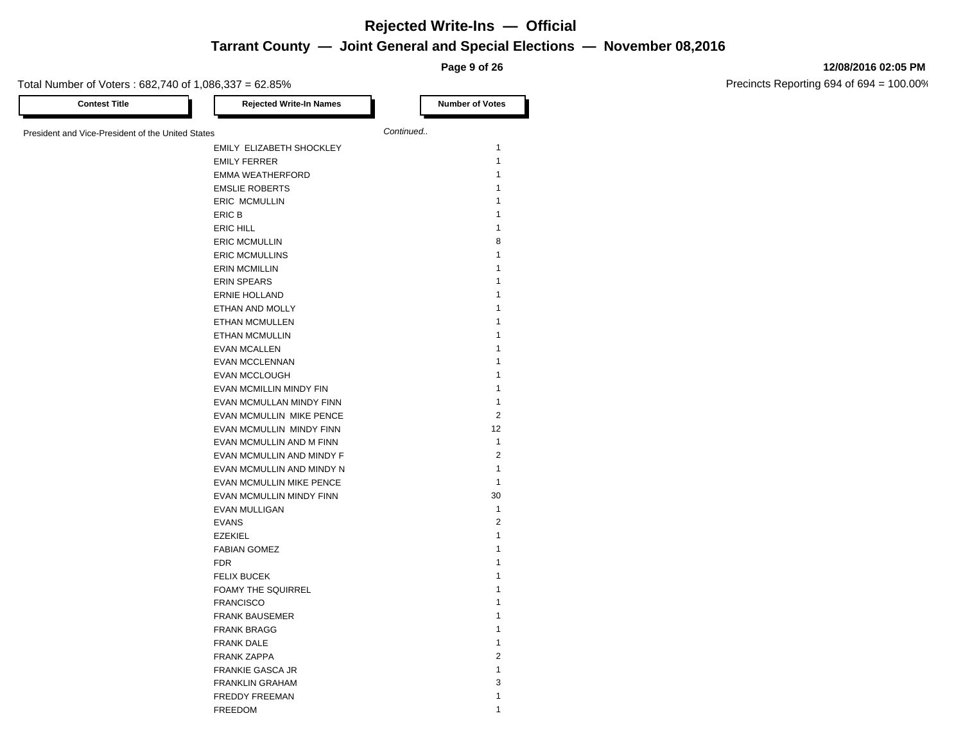**Page 9 of 26**

#### Total Number of Voters : 682,740 of 1,086,337 = 62.85%

**12/08/2016 02:05 PM**

| <b>Contest Title</b>                              | <b>Rejected Write-In Names</b>                       |           | <b>Number of Votes</b>         |
|---------------------------------------------------|------------------------------------------------------|-----------|--------------------------------|
| President and Vice-President of the United States |                                                      | Continued |                                |
|                                                   | EMILY ELIZABETH SHOCKLEY                             |           | $\mathbf{1}$                   |
|                                                   | <b>EMILY FERRER</b>                                  |           | $\mathbf{1}$                   |
|                                                   | <b>EMMA WEATHERFORD</b>                              |           | $\mathbf{1}$                   |
|                                                   | <b>EMSLIE ROBERTS</b>                                |           | $\mathbf{1}$                   |
|                                                   | <b>ERIC MCMULLIN</b>                                 |           | $\mathbf{1}$                   |
|                                                   | ERIC B                                               |           | $\mathbf{1}$                   |
|                                                   | <b>ERIC HILL</b>                                     |           | $\mathbf{1}$                   |
|                                                   | <b>ERIC MCMULLIN</b>                                 |           | 8                              |
|                                                   | <b>ERIC MCMULLINS</b>                                |           | $\mathbf{1}$                   |
|                                                   | <b>ERIN MCMILLIN</b>                                 |           | $\mathbf{1}$                   |
|                                                   | <b>ERIN SPEARS</b>                                   |           | 1                              |
|                                                   | <b>ERNIE HOLLAND</b>                                 |           | $\mathbf{1}$                   |
|                                                   | ETHAN AND MOLLY                                      |           | $\mathbf{1}$                   |
|                                                   | <b>ETHAN MCMULLEN</b>                                |           | $\mathbf{1}$                   |
|                                                   | ETHAN MCMULLIN                                       |           | $\mathbf{1}$                   |
|                                                   | <b>EVAN MCALLEN</b>                                  |           | $\mathbf{1}$                   |
|                                                   | EVAN MCCLENNAN                                       |           | $\mathbf{1}$                   |
|                                                   | <b>EVAN MCCLOUGH</b>                                 |           | $\mathbf{1}$                   |
|                                                   | EVAN MCMILLIN MINDY FIN                              |           | $\mathbf{1}$                   |
|                                                   | EVAN MCMULLAN MINDY FINN                             |           | $\mathbf{1}$                   |
|                                                   | EVAN MCMULLIN MIKE PENCE                             |           | 2                              |
|                                                   |                                                      |           | 12                             |
|                                                   | EVAN MCMULLIN MINDY FINN<br>EVAN MCMULLIN AND M FINN |           | $\mathbf{1}$                   |
|                                                   |                                                      |           | 2                              |
|                                                   | EVAN MCMULLIN AND MINDY F                            |           | $\mathbf{1}$                   |
|                                                   | EVAN MCMULLIN AND MINDY N                            |           | $\mathbf{1}$                   |
|                                                   | EVAN MCMULLIN MIKE PENCE                             |           |                                |
|                                                   | EVAN MCMULLIN MINDY FINN                             |           | 30<br>$\mathbf{1}$             |
|                                                   | <b>EVAN MULLIGAN</b>                                 |           |                                |
|                                                   | <b>EVANS</b>                                         |           | $\overline{2}$<br>$\mathbf{1}$ |
|                                                   | <b>EZEKIEL</b>                                       |           |                                |
|                                                   | <b>FABIAN GOMEZ</b>                                  |           | $\mathbf{1}$                   |
|                                                   | <b>FDR</b>                                           |           | $\mathbf{1}$                   |
|                                                   | <b>FELIX BUCEK</b>                                   |           | $\mathbf{1}$                   |
|                                                   | <b>FOAMY THE SQUIRREL</b>                            |           | $\mathbf{1}$                   |
|                                                   | <b>FRANCISCO</b>                                     |           | $\mathbf{1}$                   |
|                                                   | <b>FRANK BAUSEMER</b>                                |           | $\mathbf{1}$                   |
|                                                   | <b>FRANK BRAGG</b>                                   |           | $\mathbf{1}$                   |
|                                                   | <b>FRANK DALE</b>                                    |           | $\mathbf{1}$                   |
|                                                   | <b>FRANK ZAPPA</b>                                   |           | $\overline{2}$                 |
|                                                   | <b>FRANKIE GASCA JR</b>                              |           | $\mathbf{1}$                   |
|                                                   | <b>FRANKLIN GRAHAM</b>                               |           | 3                              |
|                                                   | <b>FREDDY FREEMAN</b>                                |           | $\mathbf{1}$                   |
|                                                   | <b>FREEDOM</b>                                       |           | $\mathbf{1}$                   |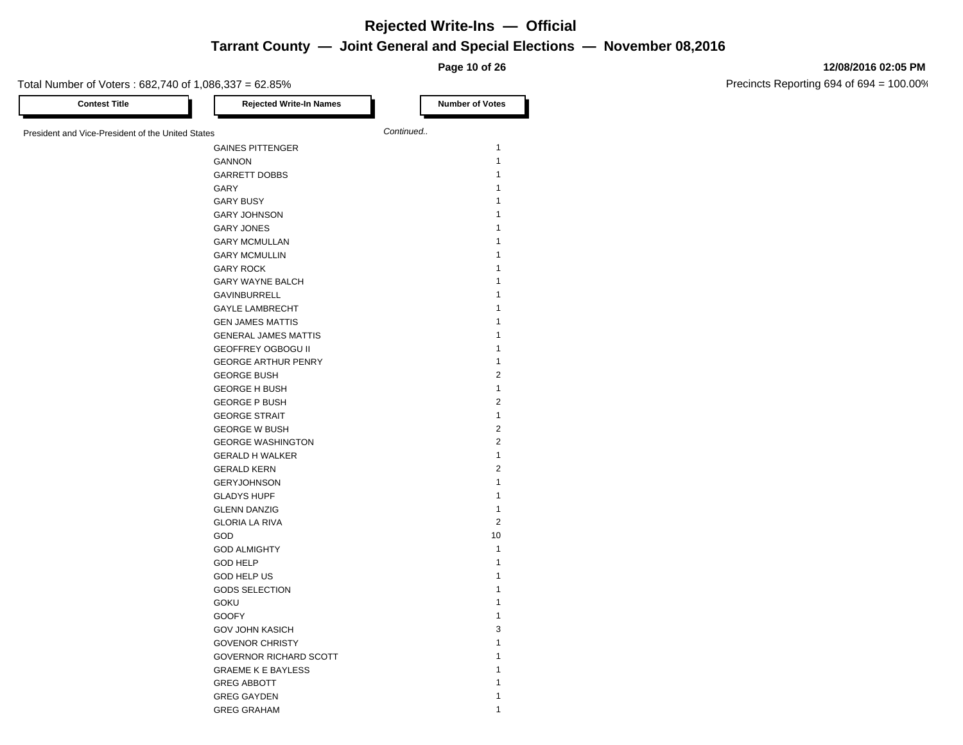**Page 10 of 26**

#### Total Number of Voters : 682,740 of 1,086,337 = 62.85%

**12/08/2016 02:05 PM**

| <b>Contest Title</b>                              | <b>Rejected Write-In Names</b>               | <b>Number of Votes</b>  |
|---------------------------------------------------|----------------------------------------------|-------------------------|
| President and Vice-President of the United States |                                              | Continued               |
|                                                   | <b>GAINES PITTENGER</b>                      | $\mathbf{1}$            |
|                                                   | <b>GANNON</b>                                | $\mathbf{1}$            |
|                                                   | <b>GARRETT DOBBS</b>                         | 1                       |
|                                                   | GARY                                         | 1                       |
|                                                   | <b>GARY BUSY</b>                             | 1                       |
|                                                   | <b>GARY JOHNSON</b>                          | 1                       |
|                                                   | <b>GARY JONES</b>                            | 1                       |
|                                                   | <b>GARY MCMULLAN</b>                         | 1                       |
|                                                   | <b>GARY MCMULLIN</b>                         | 1                       |
|                                                   | <b>GARY ROCK</b>                             | 1                       |
|                                                   | GARY WAYNE BALCH                             | 1                       |
|                                                   | GAVINBURRELL                                 | 1                       |
|                                                   | <b>GAYLE LAMBRECHT</b>                       | 1                       |
|                                                   | <b>GEN JAMES MATTIS</b>                      | 1                       |
|                                                   | <b>GENERAL JAMES MATTIS</b>                  | 1                       |
|                                                   | <b>GEOFFREY OGBOGU II</b>                    | 1                       |
|                                                   | <b>GEORGE ARTHUR PENRY</b>                   | 1                       |
|                                                   | <b>GEORGE BUSH</b>                           | $\overline{2}$          |
|                                                   | <b>GEORGE H BUSH</b>                         | $\mathbf{1}$            |
|                                                   | <b>GEORGE P BUSH</b>                         | $\overline{2}$          |
|                                                   | <b>GEORGE STRAIT</b>                         | $\mathbf{1}$            |
|                                                   | <b>GEORGE W BUSH</b>                         | $\overline{\mathbf{c}}$ |
|                                                   | <b>GEORGE WASHINGTON</b>                     | $\overline{2}$          |
|                                                   | <b>GERALD H WALKER</b>                       | $\mathbf{1}$            |
|                                                   |                                              | $\overline{\mathbf{c}}$ |
|                                                   | <b>GERALD KERN</b>                           | $\mathbf{1}$            |
|                                                   | <b>GERYJOHNSON</b><br><b>GLADYS HUPF</b>     | 1                       |
|                                                   |                                              | $\mathbf{1}$            |
|                                                   | <b>GLENN DANZIG</b><br><b>GLORIA LA RIVA</b> | $\overline{2}$          |
|                                                   | <b>GOD</b>                                   | 10                      |
|                                                   | <b>GOD ALMIGHTY</b>                          | $\mathbf{1}$            |
|                                                   | <b>GOD HELP</b>                              | $\mathbf{1}$            |
|                                                   | <b>GOD HELP US</b>                           | 1                       |
|                                                   | GODS SELECTION                               | 1                       |
|                                                   | <b>GOKU</b>                                  | $\mathbf{1}$            |
|                                                   | <b>GOOFY</b>                                 | 1                       |
|                                                   |                                              | 3                       |
|                                                   | <b>GOV JOHN KASICH</b>                       | 1                       |
|                                                   | <b>GOVENOR CHRISTY</b>                       | 1                       |
|                                                   | GOVERNOR RICHARD SCOTT                       | 1                       |
|                                                   | <b>GRAEME K E BAYLESS</b>                    | 1                       |
|                                                   | <b>GREG ABBOTT</b>                           | 1                       |
|                                                   | <b>GREG GAYDEN</b>                           |                         |
|                                                   | <b>GREG GRAHAM</b>                           | $\mathbf{1}$            |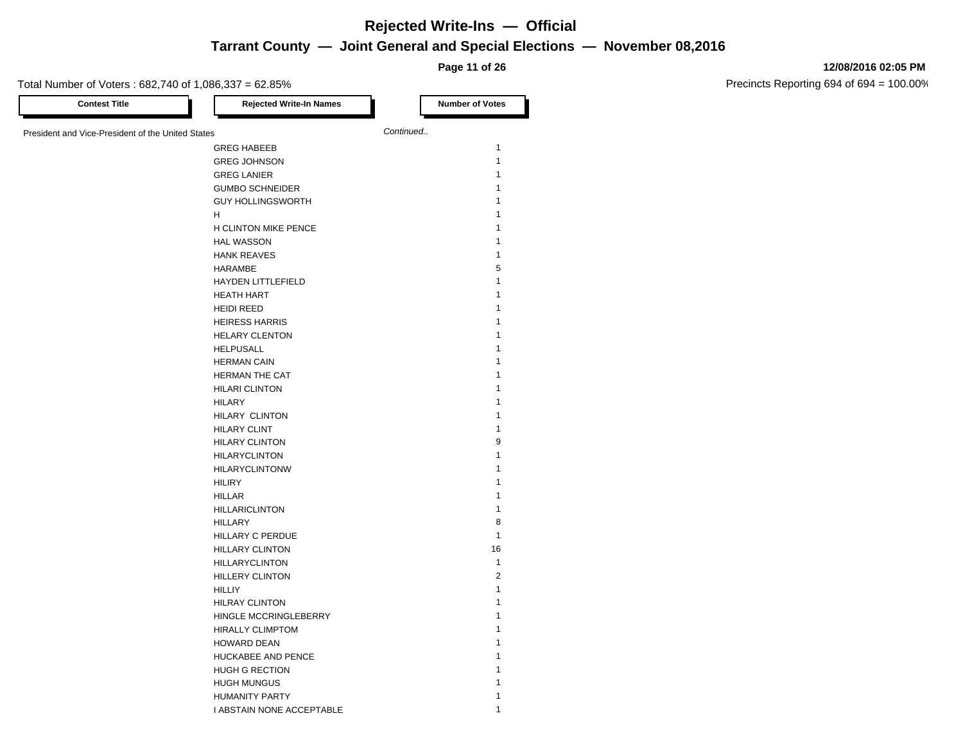**Page 11 of 26**

#### **12/08/2016 02:05 PM**

| <b>Contest Title</b>                              | <b>Rejected Write-In Names</b> | <b>Number of Votes</b> |
|---------------------------------------------------|--------------------------------|------------------------|
| President and Vice-President of the United States |                                | Continued              |
|                                                   | <b>GREG HABEEB</b>             | $\mathbf{1}$           |
|                                                   | <b>GREG JOHNSON</b>            | 1                      |
|                                                   | <b>GREG LANIER</b>             | 1                      |
|                                                   | <b>GUMBO SCHNEIDER</b>         | 1                      |
|                                                   | <b>GUY HOLLINGSWORTH</b>       | 1                      |
|                                                   | H                              | 1                      |
|                                                   | H CLINTON MIKE PENCE           | 1                      |
|                                                   | <b>HAL WASSON</b>              | 1                      |
|                                                   | <b>HANK REAVES</b>             | 1                      |
|                                                   |                                | 5                      |
|                                                   | HARAMBE                        |                        |
|                                                   | <b>HAYDEN LITTLEFIELD</b>      | 1<br>1                 |
|                                                   | <b>HEATH HART</b>              | 1                      |
|                                                   | <b>HEIDI REED</b>              |                        |
|                                                   | <b>HEIRESS HARRIS</b>          | 1                      |
|                                                   | <b>HELARY CLENTON</b>          | 1                      |
|                                                   | <b>HELPUSALL</b>               | 1                      |
|                                                   | <b>HERMAN CAIN</b>             | 1                      |
|                                                   | HERMAN THE CAT                 | 1                      |
|                                                   | <b>HILARI CLINTON</b>          | 1                      |
|                                                   | HILARY                         | 1                      |
|                                                   | <b>HILARY CLINTON</b>          | 1                      |
|                                                   | <b>HILARY CLINT</b>            | 1                      |
|                                                   | <b>HILARY CLINTON</b>          | 9                      |
|                                                   | <b>HILARYCLINTON</b>           | 1                      |
|                                                   | <b>HILARYCLINTONW</b>          | 1                      |
|                                                   | <b>HILIRY</b>                  | 1                      |
|                                                   | <b>HILLAR</b>                  | 1                      |
|                                                   | <b>HILLARICLINTON</b>          | 1                      |
|                                                   | HILLARY                        | 8                      |
|                                                   | HILLARY C PERDUE               | $\mathbf{1}$           |
|                                                   | <b>HILLARY CLINTON</b>         | 16                     |
|                                                   | <b>HILLARYCLINTON</b>          | $\mathbf{1}$           |
|                                                   | <b>HILLERY CLINTON</b>         | $\overline{c}$         |
|                                                   | <b>HILLIY</b>                  | 1                      |
|                                                   | <b>HILRAY CLINTON</b>          | 1                      |
|                                                   | HINGLE MCCRINGLEBERRY          | 1                      |
|                                                   | <b>HIRALLY CLIMPTOM</b>        | 1                      |
|                                                   | <b>HOWARD DEAN</b>             | 1                      |
|                                                   | HUCKABEE AND PENCE             | 1                      |
|                                                   | HUGH G RECTION                 | 1                      |
|                                                   | <b>HUGH MUNGUS</b>             |                        |
|                                                   | <b>HUMANITY PARTY</b>          | 1                      |
|                                                   | I ABSTAIN NONE ACCEPTABLE      | 1                      |
|                                                   |                                |                        |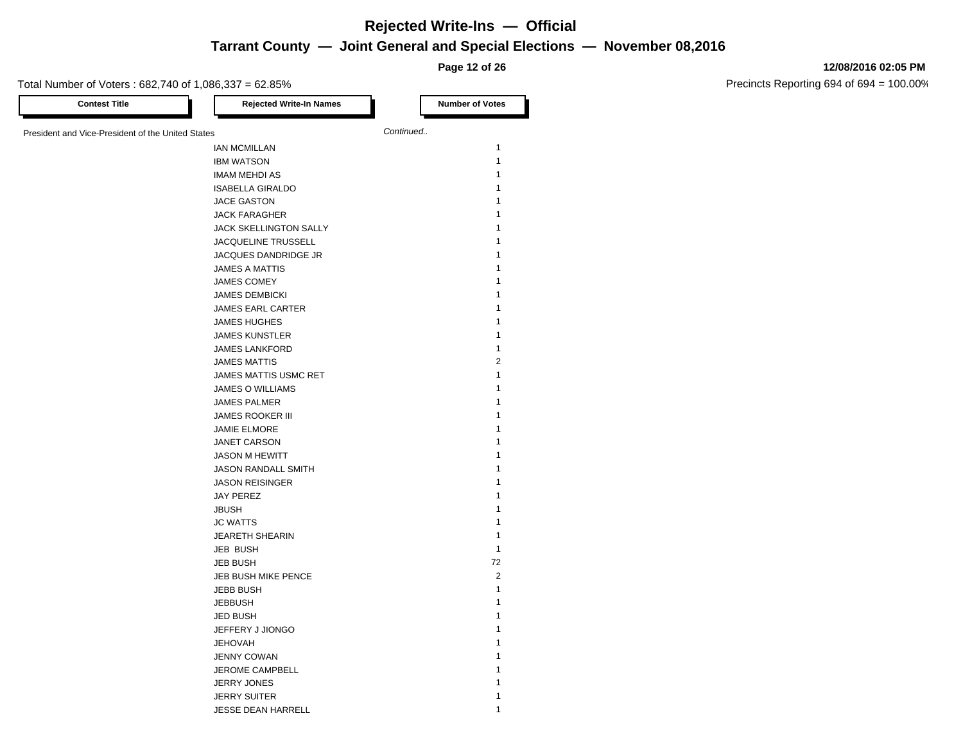**Page 12 of 26**

#### Total Number of Voters : 682,740 of 1,086,337 = 62.85%

**12/08/2016 02:05 PM**

| <b>Contest Title</b>                              | <b>Rejected Write-In Names</b> |           | <b>Number of Votes</b> |
|---------------------------------------------------|--------------------------------|-----------|------------------------|
| President and Vice-President of the United States |                                | Continued |                        |
|                                                   | <b>IAN MCMILLAN</b>            |           | $\mathbf{1}$           |
|                                                   | <b>IBM WATSON</b>              |           | $\mathbf{1}$           |
|                                                   | <b>IMAM MEHDI AS</b>           |           | $\mathbf{1}$           |
|                                                   | <b>ISABELLA GIRALDO</b>        |           | $\mathbf{1}$           |
|                                                   |                                |           | $\mathbf{1}$           |
|                                                   | <b>JACE GASTON</b>             |           | $\mathbf{1}$           |
|                                                   | <b>JACK FARAGHER</b>           |           |                        |
|                                                   | JACK SKELLINGTON SALLY         |           | 1                      |
|                                                   | JACQUELINE TRUSSELL            |           | $\mathbf{1}$           |
|                                                   | JACQUES DANDRIDGE JR           |           | $\mathbf{1}$           |
|                                                   | <b>JAMES A MATTIS</b>          |           | $\mathbf{1}$           |
|                                                   | <b>JAMES COMEY</b>             |           | 1                      |
|                                                   | <b>JAMES DEMBICKI</b>          |           | $\mathbf{1}$           |
|                                                   | <b>JAMES EARL CARTER</b>       |           | $\mathbf{1}$           |
|                                                   | <b>JAMES HUGHES</b>            |           | $\mathbf{1}$           |
|                                                   | <b>JAMES KUNSTLER</b>          |           | $\mathbf{1}$           |
|                                                   | <b>JAMES LANKFORD</b>          |           | $\mathbf{1}$           |
|                                                   | <b>JAMES MATTIS</b>            |           | $\overline{2}$         |
|                                                   | <b>JAMES MATTIS USMC RET</b>   |           | $\mathbf{1}$           |
|                                                   | <b>JAMES O WILLIAMS</b>        |           | $\mathbf{1}$           |
|                                                   | <b>JAMES PALMER</b>            |           | $\mathbf{1}$           |
|                                                   | <b>JAMES ROOKER III</b>        |           | $\mathbf{1}$           |
|                                                   | <b>JAMIE ELMORE</b>            |           | $\mathbf{1}$           |
|                                                   | JANET CARSON                   |           | $\mathbf{1}$           |
|                                                   | <b>JASON M HEWITT</b>          |           | $\mathbf{1}$           |
|                                                   | JASON RANDALL SMITH            |           | $\mathbf{1}$           |
|                                                   | <b>JASON REISINGER</b>         |           | $\mathbf{1}$           |
|                                                   | <b>JAY PEREZ</b>               |           | $\mathbf{1}$           |
|                                                   | <b>JBUSH</b>                   |           | $\mathbf{1}$           |
|                                                   | <b>JC WATTS</b>                |           | $\mathbf{1}$           |
|                                                   | JEARETH SHEARIN                |           | $\mathbf{1}$           |
|                                                   | JEB BUSH                       |           | $\mathbf{1}$           |
|                                                   | <b>JEB BUSH</b>                |           | 72                     |
|                                                   | JEB BUSH MIKE PENCE            |           | $\mathbf{2}$           |
|                                                   | <b>JEBB BUSH</b>               |           | $\mathbf{1}$           |
|                                                   | <b>JEBBUSH</b>                 |           | $\mathbf{1}$           |
|                                                   | <b>JED BUSH</b>                |           | $\mathbf{1}$           |
|                                                   | JEFFERY J JIONGO               |           | $\mathbf{1}$           |
|                                                   | <b>JEHOVAH</b>                 |           | $\mathbf{1}$           |
|                                                   |                                |           | $\mathbf{1}$           |
|                                                   | <b>JENNY COWAN</b>             |           |                        |
|                                                   | JEROME CAMPBELL                |           | $\mathbf{1}$           |
|                                                   | <b>JERRY JONES</b>             |           | $\mathbf{1}$           |
|                                                   | <b>JERRY SUITER</b>            |           | 1                      |
|                                                   | <b>JESSE DEAN HARRELL</b>      |           | $\mathbf{1}$           |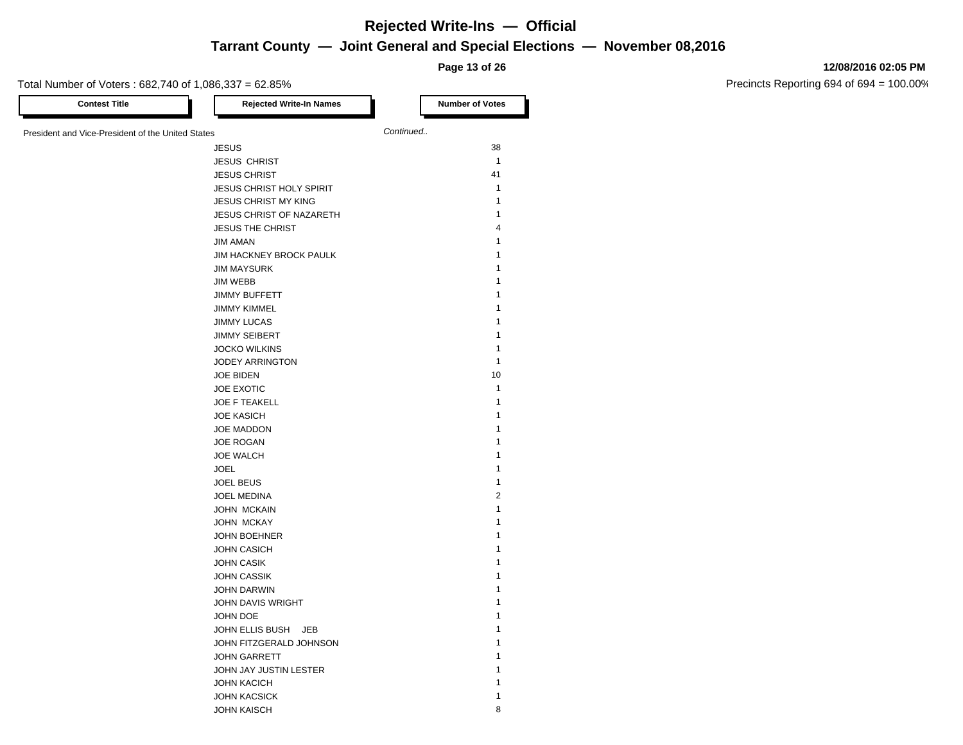**Page 13 of 26**

#### **12/08/2016 02:05 PM**

| <b>Contest Title</b>                              | <b>Rejected Write-In Names</b> | <b>Number of Votes</b>  |
|---------------------------------------------------|--------------------------------|-------------------------|
| President and Vice-President of the United States |                                | Continued               |
|                                                   | <b>JESUS</b>                   | 38                      |
|                                                   | <b>JESUS CHRIST</b>            | $\mathbf{1}$            |
|                                                   | <b>JESUS CHRIST</b>            | 41                      |
|                                                   | JESUS CHRIST HOLY SPIRIT       | $\mathbf{1}$            |
|                                                   | <b>JESUS CHRIST MY KING</b>    | 1                       |
|                                                   | JESUS CHRIST OF NAZARETH       | 1                       |
|                                                   | <b>JESUS THE CHRIST</b>        | 4                       |
|                                                   | <b>JIM AMAN</b>                | 1                       |
|                                                   | <b>JIM HACKNEY BROCK PAULK</b> | 1                       |
|                                                   | <b>JIM MAYSURK</b>             | 1                       |
|                                                   | <b>JIM WEBB</b>                | 1                       |
|                                                   | <b>JIMMY BUFFETT</b>           | 1                       |
|                                                   | <b>JIMMY KIMMEL</b>            | 1                       |
|                                                   | <b>JIMMY LUCAS</b>             | 1                       |
|                                                   | <b>JIMMY SEIBERT</b>           | 1                       |
|                                                   | <b>JOCKO WILKINS</b>           | 1                       |
|                                                   |                                | 1                       |
|                                                   | <b>JODEY ARRINGTON</b>         | 10                      |
|                                                   | <b>JOE BIDEN</b>               | 1                       |
|                                                   | <b>JOE EXOTIC</b>              |                         |
|                                                   | JOE F TEAKELL                  | 1<br>1                  |
|                                                   | <b>JOE KASICH</b>              |                         |
|                                                   | <b>JOE MADDON</b>              | 1                       |
|                                                   | <b>JOE ROGAN</b>               | 1                       |
|                                                   | <b>JOE WALCH</b>               | 1                       |
|                                                   | <b>JOEL</b>                    | 1                       |
|                                                   | <b>JOEL BEUS</b>               | 1                       |
|                                                   | <b>JOEL MEDINA</b>             | $\overline{\mathbf{c}}$ |
|                                                   | <b>JOHN MCKAIN</b>             | 1                       |
|                                                   | JOHN MCKAY                     | 1                       |
|                                                   | <b>JOHN BOEHNER</b>            | 1                       |
|                                                   | <b>JOHN CASICH</b>             | 1                       |
|                                                   | <b>JOHN CASIK</b>              | 1                       |
|                                                   | <b>JOHN CASSIK</b>             | 1                       |
|                                                   | <b>JOHN DARWIN</b>             | 1                       |
|                                                   | JOHN DAVIS WRIGHT              | 1                       |
|                                                   | JOHN DOE                       | 1                       |
|                                                   | JOHN ELLIS BUSH JEB            | 1                       |
|                                                   | JOHN FITZGERALD JOHNSON        |                         |
|                                                   | <b>JOHN GARRETT</b>            | 1                       |
|                                                   | JOHN JAY JUSTIN LESTER         | 1                       |
|                                                   | <b>JOHN KACICH</b>             |                         |
|                                                   | <b>JOHN KACSICK</b>            | 1                       |
|                                                   | <b>JOHN KAISCH</b>             | 8                       |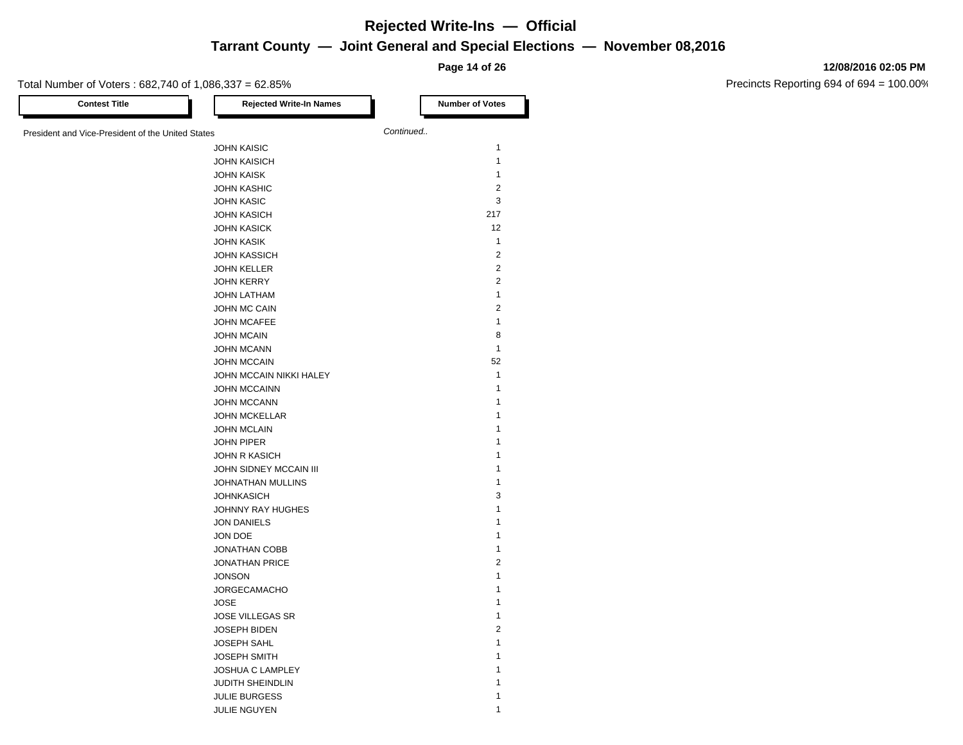**Page 14 of 26**

#### **12/08/2016 02:05 PM**

| <b>Contest Title</b>                              | <b>Rejected Write-In Names</b> | <b>Number of Votes</b> |
|---------------------------------------------------|--------------------------------|------------------------|
| President and Vice-President of the United States |                                | Continued              |
|                                                   | <b>JOHN KAISIC</b>             | 1                      |
|                                                   | <b>JOHN KAISICH</b>            | 1                      |
|                                                   |                                | 1                      |
|                                                   | <b>JOHN KAISK</b>              | 2                      |
|                                                   | <b>JOHN KASHIC</b>             |                        |
|                                                   | <b>JOHN KASIC</b>              | 3                      |
|                                                   | <b>JOHN KASICH</b>             | 217                    |
|                                                   | <b>JOHN KASICK</b>             | 12                     |
|                                                   | <b>JOHN KASIK</b>              | 1                      |
|                                                   | <b>JOHN KASSICH</b>            | 2                      |
|                                                   | <b>JOHN KELLER</b>             | $\overline{2}$         |
|                                                   | <b>JOHN KERRY</b>              | 2                      |
|                                                   | <b>JOHN LATHAM</b>             | 1                      |
|                                                   | JOHN MC CAIN                   | 2                      |
|                                                   | <b>JOHN MCAFEE</b>             | 1                      |
|                                                   | <b>JOHN MCAIN</b>              | 8                      |
|                                                   | <b>JOHN MCANN</b>              | 1                      |
|                                                   | <b>JOHN MCCAIN</b>             | 52                     |
|                                                   | JOHN MCCAIN NIKKI HALEY        | 1                      |
|                                                   | <b>JOHN MCCAINN</b>            | 1                      |
|                                                   | <b>JOHN MCCANN</b>             | 1                      |
|                                                   |                                | 1                      |
|                                                   | <b>JOHN MCKELLAR</b>           |                        |
|                                                   | <b>JOHN MCLAIN</b>             | 1                      |
|                                                   | <b>JOHN PIPER</b>              | 1                      |
|                                                   | <b>JOHN R KASICH</b>           |                        |
|                                                   | JOHN SIDNEY MCCAIN III         | 1                      |
|                                                   | JOHNATHAN MULLINS              | 1                      |
|                                                   | <b>JOHNKASICH</b>              | 3                      |
|                                                   | JOHNNY RAY HUGHES              | 1                      |
|                                                   | <b>JON DANIELS</b>             | 1                      |
|                                                   | JON DOE                        | 1                      |
|                                                   | <b>JONATHAN COBB</b>           | $\mathbf{1}$           |
|                                                   | <b>JONATHAN PRICE</b>          | 2                      |
|                                                   | <b>JONSON</b>                  | 1                      |
|                                                   | <b>JORGECAMACHO</b>            | 1                      |
|                                                   | <b>JOSE</b>                    |                        |
|                                                   | <b>JOSE VILLEGAS SR</b>        | 1                      |
|                                                   | <b>JOSEPH BIDEN</b>            | $\overline{c}$         |
|                                                   |                                | 1                      |
|                                                   | <b>JOSEPH SAHL</b>             |                        |
|                                                   | <b>JOSEPH SMITH</b>            | 1                      |
|                                                   | JOSHUA C LAMPLEY               | 1                      |
|                                                   | JUDITH SHEINDLIN               | 1                      |
|                                                   | <b>JULIE BURGESS</b>           | 1                      |
|                                                   | JULIE NGUYEN                   | $\mathbf{1}$           |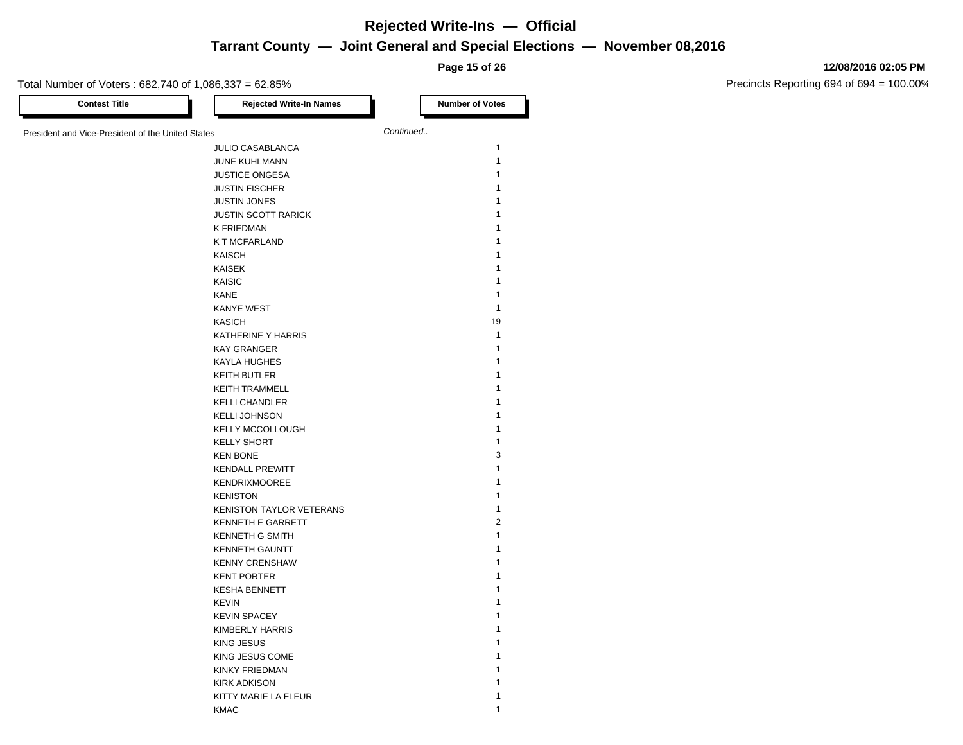**Page 15 of 26**

#### Total Number of Voters : 682,740 of 1,086,337 = 62.85%

**12/08/2016 02:05 PM**

| <b>Contest Title</b>                              | <b>Rejected Write-In Names</b>  |           | <b>Number of Votes</b> |
|---------------------------------------------------|---------------------------------|-----------|------------------------|
| President and Vice-President of the United States |                                 | Continued |                        |
|                                                   | <b>JULIO CASABLANCA</b>         |           | $\mathbf{1}$           |
|                                                   | JUNE KUHLMANN                   |           | $\mathbf{1}$           |
|                                                   | <b>JUSTICE ONGESA</b>           |           | $\mathbf{1}$           |
|                                                   | <b>JUSTIN FISCHER</b>           |           | $\mathbf{1}$           |
|                                                   | <b>JUSTIN JONES</b>             |           | $\mathbf{1}$           |
|                                                   | <b>JUSTIN SCOTT RARICK</b>      |           | $\mathbf{1}$           |
|                                                   | <b>K FRIEDMAN</b>               |           | $\mathbf{1}$           |
|                                                   | <b>K T MCFARLAND</b>            |           | $\mathbf{1}$           |
|                                                   | <b>KAISCH</b>                   |           | $\mathbf{1}$           |
|                                                   | <b>KAISEK</b>                   |           | $\mathbf{1}$           |
|                                                   | KAISIC                          |           | $\mathbf{1}$           |
|                                                   | <b>KANE</b>                     |           | $\mathbf{1}$           |
|                                                   | <b>KANYE WEST</b>               |           | $\mathbf{1}$           |
|                                                   | <b>KASICH</b>                   |           | 19                     |
|                                                   | KATHERINE Y HARRIS              |           | $\mathbf{1}$           |
|                                                   | <b>KAY GRANGER</b>              |           | $\mathbf{1}$           |
|                                                   | <b>KAYLA HUGHES</b>             |           | $\mathbf{1}$           |
|                                                   | <b>KEITH BUTLER</b>             |           | $\mathbf{1}$           |
|                                                   | <b>KEITH TRAMMELL</b>           |           | $\mathbf{1}$           |
|                                                   | <b>KELLI CHANDLER</b>           |           | $\mathbf{1}$           |
|                                                   | <b>KELLI JOHNSON</b>            |           | $\mathbf{1}$           |
|                                                   | KELLY MCCOLLOUGH                |           | $\mathbf{1}$           |
|                                                   | <b>KELLY SHORT</b>              |           | $\mathbf{1}$           |
|                                                   | <b>KEN BONE</b>                 |           | 3                      |
|                                                   | <b>KENDALL PREWITT</b>          |           | $\mathbf{1}$           |
|                                                   | <b>KENDRIXMOOREE</b>            |           | $\mathbf{1}$           |
|                                                   | <b>KENISTON</b>                 |           | $\mathbf{1}$           |
|                                                   | <b>KENISTON TAYLOR VETERANS</b> |           | $\mathbf{1}$           |
|                                                   | <b>KENNETH E GARRETT</b>        |           | $\overline{2}$         |
|                                                   | <b>KENNETH G SMITH</b>          |           | $\mathbf{1}$           |
|                                                   | <b>KENNETH GAUNTT</b>           |           | $\mathbf{1}$           |
|                                                   | <b>KENNY CRENSHAW</b>           |           | $\mathbf{1}$           |
|                                                   | <b>KENT PORTER</b>              |           | $\mathbf{1}$           |
|                                                   | <b>KESHA BENNETT</b>            |           | $\mathbf{1}$           |
|                                                   | <b>KEVIN</b>                    |           | $\mathbf{1}$           |
|                                                   | <b>KEVIN SPACEY</b>             |           | $\mathbf{1}$           |
|                                                   | KIMBERLY HARRIS                 |           | $\mathbf{1}$           |
|                                                   | <b>KING JESUS</b>               |           | $\mathbf{1}$           |
|                                                   | KING JESUS COME                 |           | $\mathbf{1}$           |
|                                                   | <b>KINKY FRIEDMAN</b>           |           | $\mathbf{1}$           |
|                                                   | <b>KIRK ADKISON</b>             |           | $\mathbf{1}$           |
|                                                   | KITTY MARIE LA FLEUR            |           | 1                      |
|                                                   | <b>KMAC</b>                     |           | $\mathbf{1}$           |
|                                                   |                                 |           |                        |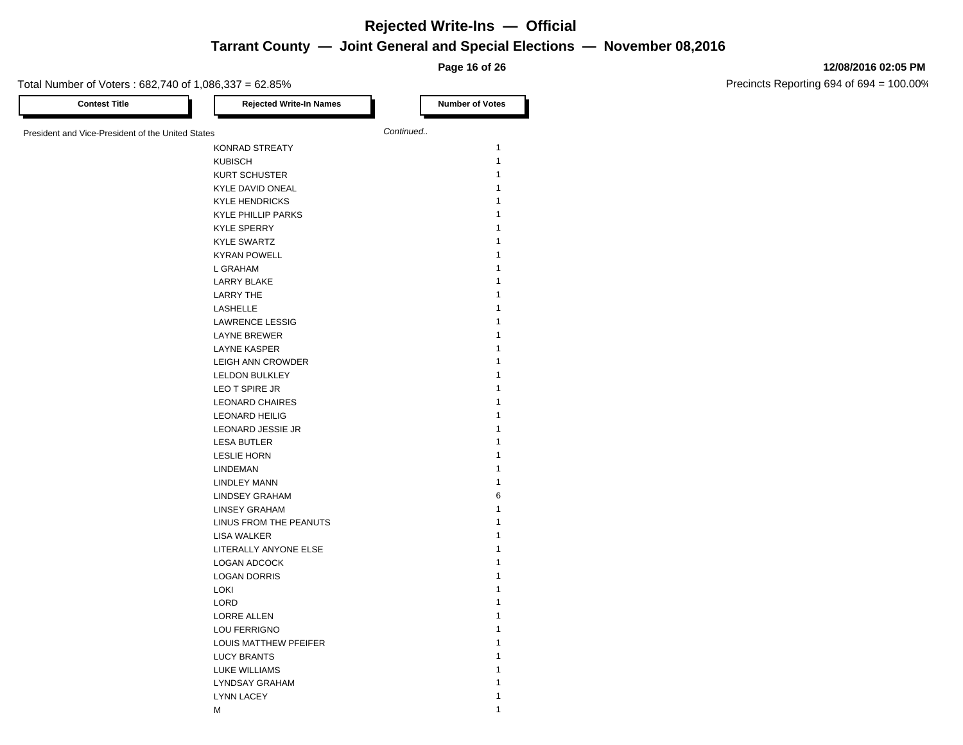**Page 16 of 26**

#### Total Number of Voters : 682,740 of 1,086,337 = 62.85%

**12/08/2016 02:05 PM**

| <b>Contest Title</b>                              | <b>Rejected Write-In Names</b> |           | <b>Number of Votes</b> |
|---------------------------------------------------|--------------------------------|-----------|------------------------|
| President and Vice-President of the United States |                                | Continued |                        |
|                                                   | KONRAD STREATY                 |           | 1                      |
|                                                   | <b>KUBISCH</b>                 |           | $\mathbf{1}$           |
|                                                   | <b>KURT SCHUSTER</b>           |           | $\mathbf{1}$           |
|                                                   | <b>KYLE DAVID ONEAL</b>        |           | 1                      |
|                                                   | <b>KYLE HENDRICKS</b>          |           | 1                      |
|                                                   | <b>KYLE PHILLIP PARKS</b>      |           | 1                      |
|                                                   | <b>KYLE SPERRY</b>             |           | 1                      |
|                                                   | <b>KYLE SWARTZ</b>             |           | 1                      |
|                                                   | <b>KYRAN POWELL</b>            |           | 1                      |
|                                                   | L GRAHAM                       |           | 1                      |
|                                                   | <b>LARRY BLAKE</b>             |           | 1                      |
|                                                   | <b>LARRY THE</b>               |           | 1                      |
|                                                   | <b>LASHELLE</b>                |           | 1                      |
|                                                   | <b>LAWRENCE LESSIG</b>         |           | 1                      |
|                                                   | <b>LAYNE BREWER</b>            |           | 1                      |
|                                                   |                                |           | 1                      |
|                                                   | <b>LAYNE KASPER</b>            |           | 1                      |
|                                                   | LEIGH ANN CROWDER              |           | 1                      |
|                                                   | <b>LELDON BULKLEY</b>          |           | 1                      |
|                                                   | LEO T SPIRE JR                 |           | 1                      |
|                                                   | <b>LEONARD CHAIRES</b>         |           | 1                      |
|                                                   | <b>LEONARD HEILIG</b>          |           | 1                      |
|                                                   | <b>LEONARD JESSIE JR</b>       |           |                        |
|                                                   | <b>LESA BUTLER</b>             |           | 1<br>1                 |
|                                                   | <b>LESLIE HORN</b>             |           |                        |
|                                                   | <b>LINDEMAN</b>                |           | 1                      |
|                                                   | <b>LINDLEY MANN</b>            |           | 1                      |
|                                                   | <b>LINDSEY GRAHAM</b>          |           | 6                      |
|                                                   | <b>LINSEY GRAHAM</b>           |           | 1                      |
|                                                   | LINUS FROM THE PEANUTS         |           | 1                      |
|                                                   | <b>LISA WALKER</b>             |           | 1                      |
|                                                   | LITERALLY ANYONE ELSE          |           | 1                      |
|                                                   | <b>LOGAN ADCOCK</b>            |           | 1                      |
|                                                   | <b>LOGAN DORRIS</b>            |           | 1                      |
|                                                   | <b>LOKI</b>                    |           | 1                      |
|                                                   | LORD                           |           | 1                      |
|                                                   | LORRE ALLEN                    |           | 1                      |
|                                                   | LOU FERRIGNO                   |           | 1                      |
|                                                   | LOUIS MATTHEW PFEIFER          |           | 1                      |
|                                                   | <b>LUCY BRANTS</b>             |           | 1                      |
|                                                   | <b>LUKE WILLIAMS</b>           |           | 1                      |
|                                                   | <b>LYNDSAY GRAHAM</b>          |           | 1                      |
|                                                   | <b>LYNN LACEY</b>              |           | 1                      |
|                                                   | M                              |           | 1                      |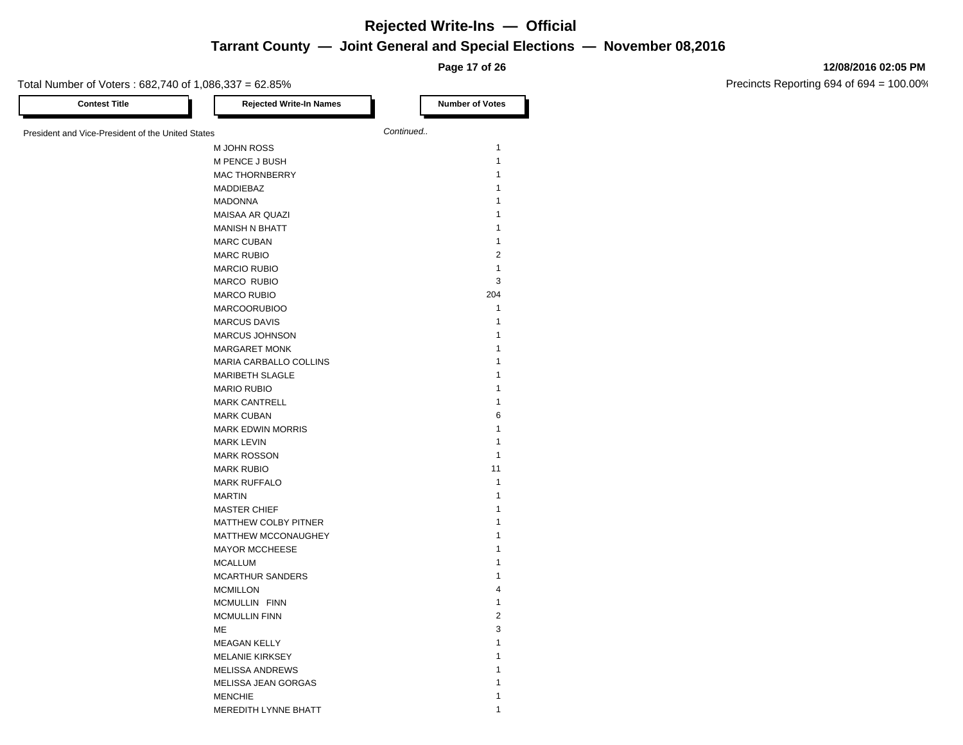**Page 17 of 26**

#### Total Number of Voters : 682,740 of 1,086,337 = 62.85%

**12/08/2016 02:05 PM**

| <b>Contest Title</b>                              | <b>Rejected Write-In Names</b> |           | <b>Number of Votes</b> |
|---------------------------------------------------|--------------------------------|-----------|------------------------|
| President and Vice-President of the United States |                                | Continued |                        |
|                                                   | M JOHN ROSS                    |           | $\mathbf{1}$           |
|                                                   | M PENCE J BUSH                 |           | $\mathbf{1}$           |
|                                                   | <b>MAC THORNBERRY</b>          |           | $\mathbf{1}$           |
|                                                   | <b>MADDIEBAZ</b>               |           | $\mathbf{1}$           |
|                                                   | <b>MADONNA</b>                 |           | $\mathbf{1}$           |
|                                                   | <b>MAISAA AR QUAZI</b>         |           | $\mathbf{1}$           |
|                                                   | <b>MANISH N BHATT</b>          |           | $\mathbf{1}$           |
|                                                   | <b>MARC CUBAN</b>              |           | $\mathbf{1}$           |
|                                                   | <b>MARC RUBIO</b>              |           | $\overline{2}$         |
|                                                   | <b>MARCIO RUBIO</b>            |           | $\mathbf{1}$           |
|                                                   | MARCO RUBIO                    |           | 3                      |
|                                                   | <b>MARCO RUBIO</b>             |           | 204                    |
|                                                   | <b>MARCOORUBIOO</b>            |           | $\mathbf{1}$           |
|                                                   | <b>MARCUS DAVIS</b>            |           | $\mathbf{1}$           |
|                                                   | <b>MARCUS JOHNSON</b>          |           | $\mathbf{1}$           |
|                                                   | <b>MARGARET MONK</b>           |           | $\mathbf{1}$           |
|                                                   | MARIA CARBALLO COLLINS         |           | $\mathbf{1}$           |
|                                                   | <b>MARIBETH SLAGLE</b>         |           | $\mathbf{1}$           |
|                                                   | <b>MARIO RUBIO</b>             |           | $\mathbf{1}$           |
|                                                   | <b>MARK CANTRELL</b>           |           | $\mathbf{1}$           |
|                                                   | <b>MARK CUBAN</b>              |           | 6                      |
|                                                   | <b>MARK EDWIN MORRIS</b>       |           | $\mathbf{1}$           |
|                                                   | <b>MARK LEVIN</b>              |           | $\mathbf{1}$           |
|                                                   | <b>MARK ROSSON</b>             |           | $\mathbf{1}$           |
|                                                   | <b>MARK RUBIO</b>              |           | 11                     |
|                                                   | <b>MARK RUFFALO</b>            |           | $\mathbf{1}$           |
|                                                   | <b>MARTIN</b>                  |           | $\mathbf{1}$           |
|                                                   | <b>MASTER CHIEF</b>            |           | $\mathbf{1}$           |
|                                                   | <b>MATTHEW COLBY PITNER</b>    |           | $\mathbf{1}$           |
|                                                   | MATTHEW MCCONAUGHEY            |           | $\mathbf{1}$           |
|                                                   | <b>MAYOR MCCHEESE</b>          |           | $\mathbf{1}$           |
|                                                   | <b>MCALLUM</b>                 |           | $\mathbf{1}$           |
|                                                   | <b>MCARTHUR SANDERS</b>        |           | $\mathbf{1}$           |
|                                                   | <b>MCMILLON</b>                |           | 4                      |
|                                                   | MCMULLIN FINN                  |           | $\mathbf{1}$           |
|                                                   | <b>MCMULLIN FINN</b>           |           | $\overline{2}$         |
|                                                   | ME                             |           | 3                      |
|                                                   | <b>MEAGAN KELLY</b>            |           | $\mathbf{1}$           |
|                                                   | <b>MELANIE KIRKSEY</b>         |           | $\mathbf{1}$           |
|                                                   | <b>MELISSA ANDREWS</b>         |           | $\mathbf{1}$           |
|                                                   | MELISSA JEAN GORGAS            |           | 1                      |
|                                                   | <b>MENCHIE</b>                 |           | 1                      |
|                                                   | MEREDITH LYNNE BHATT           |           | $\mathbf{1}$           |
|                                                   |                                |           |                        |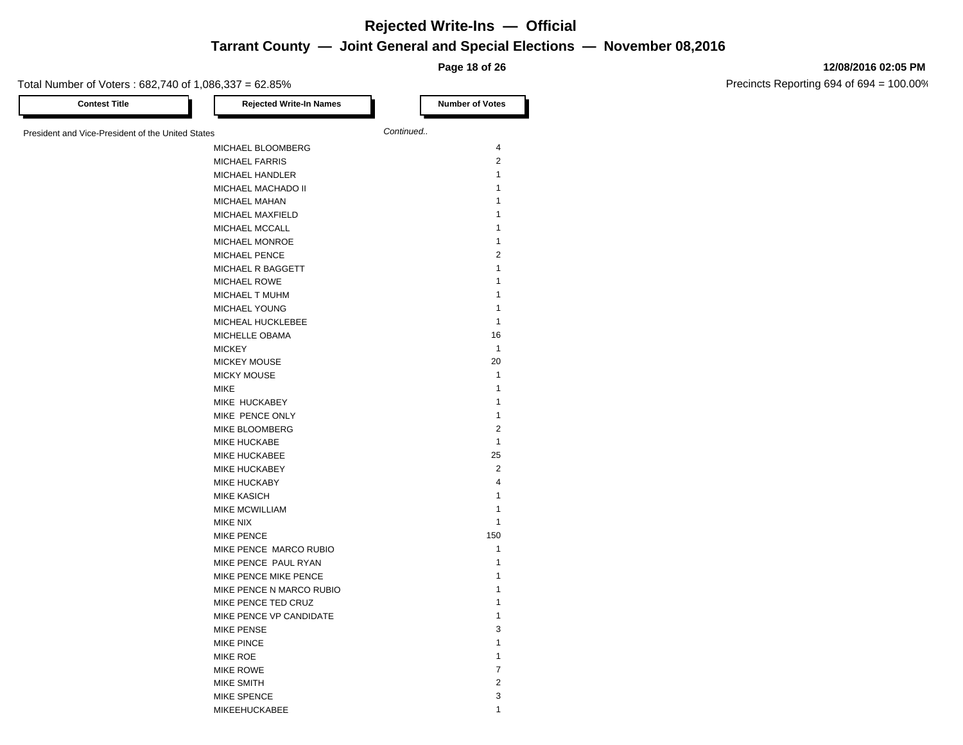**Page 18 of 26**

Total Number of Voters : 682,740 of 1,086,337 = 62.85%

| <b>Contest Title</b>                              | <b>Rejected Write-In Names</b> | <b>Number of Votes</b> |
|---------------------------------------------------|--------------------------------|------------------------|
| President and Vice-President of the United States |                                | Continued              |
|                                                   | MICHAEL BLOOMBERG              | 4                      |
|                                                   | <b>MICHAEL FARRIS</b>          | $\overline{2}$         |
|                                                   | <b>MICHAEL HANDLER</b>         | $\mathbf{1}$           |
|                                                   | MICHAEL MACHADO II             | $\mathbf{1}$           |
|                                                   | MICHAEL MAHAN                  | 1                      |
|                                                   | MICHAEL MAXFIELD               | 1                      |
|                                                   | MICHAEL MCCALL                 | 1                      |
|                                                   | <b>MICHAEL MONROE</b>          | 1                      |
|                                                   | MICHAEL PENCE                  | $\overline{2}$         |
|                                                   | MICHAEL R BAGGETT              | $\mathbf{1}$           |
|                                                   | MICHAEL ROWE                   | $\mathbf{1}$           |
|                                                   | MICHAEL T MUHM                 | 1                      |
|                                                   | <b>MICHAEL YOUNG</b>           | 1                      |
|                                                   | MICHEAL HUCKLEBEE              | $\mathbf{1}$           |
|                                                   | MICHELLE OBAMA                 | 16                     |
|                                                   | <b>MICKEY</b>                  | $\mathbf{1}$           |
|                                                   | <b>MICKEY MOUSE</b>            | 20                     |
|                                                   | <b>MICKY MOUSE</b>             | $\mathbf{1}$           |
|                                                   | <b>MIKE</b>                    | $\mathbf{1}$           |
|                                                   | MIKE HUCKABEY                  | $\mathbf{1}$           |
|                                                   | MIKE PENCE ONLY                | $\mathbf{1}$           |
|                                                   | MIKE BLOOMBERG                 | $\overline{2}$         |
|                                                   | <b>MIKE HUCKABE</b>            | $\mathbf{1}$           |
|                                                   | MIKE HUCKABEE                  | 25                     |
|                                                   | MIKE HUCKABEY                  | 2                      |
|                                                   | MIKE HUCKABY                   | $\overline{4}$         |
|                                                   | <b>MIKE KASICH</b>             | $\mathbf{1}$           |
|                                                   | <b>MIKE MCWILLIAM</b>          | 1                      |
|                                                   | <b>MIKE NIX</b>                | $\mathbf{1}$           |
|                                                   | <b>MIKE PENCE</b>              | 150                    |
|                                                   | MIKE PENCE MARCO RUBIO         | $\mathbf{1}$           |
|                                                   | MIKE PENCE PAUL RYAN           | 1                      |
|                                                   | MIKE PENCE MIKE PENCE          | 1                      |
|                                                   | MIKE PENCE N MARCO RUBIO       | 1                      |
|                                                   | MIKE PENCE TED CRUZ            | 1                      |
|                                                   | MIKE PENCE VP CANDIDATE        | 1                      |
|                                                   | <b>MIKE PENSE</b>              | 3                      |
|                                                   | <b>MIKE PINCE</b>              | 1                      |
|                                                   | <b>MIKE ROE</b>                | 1                      |
|                                                   | <b>MIKE ROWE</b>               | $\overline{7}$         |
|                                                   | <b>MIKE SMITH</b>              | $\overline{2}$         |
|                                                   | MIKE SPENCE                    | 3                      |
|                                                   | <b>MIKEEHUCKABEE</b>           | 1                      |

#### **12/08/2016 02:05 PM**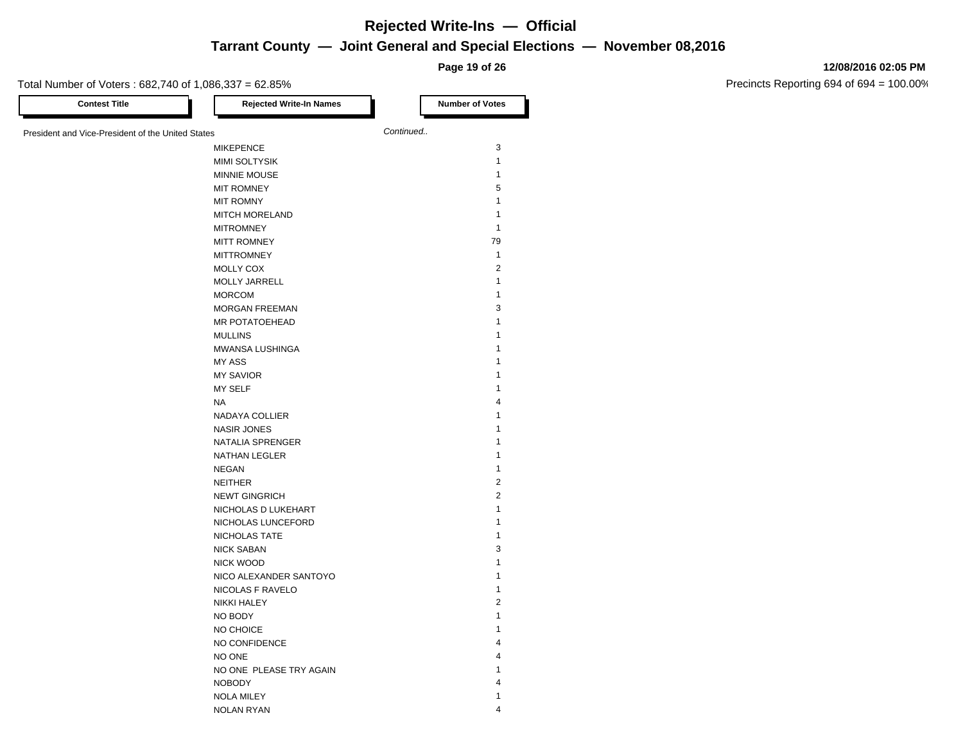**Page 19 of 26**

#### **12/08/2016 02:05 PM**

| <b>Contest Title</b>                              | <b>Rejected Write-In Names</b> | <b>Number of Votes</b>  |
|---------------------------------------------------|--------------------------------|-------------------------|
| President and Vice-President of the United States |                                | Continued               |
|                                                   | <b>MIKEPENCE</b>               | 3                       |
|                                                   | <b>MIMI SOLTYSIK</b>           | $\mathbf{1}$            |
|                                                   | MINNIE MOUSE                   | $\mathbf{1}$            |
|                                                   | <b>MIT ROMNEY</b>              | 5                       |
|                                                   | <b>MIT ROMNY</b>               | $\mathbf{1}$            |
|                                                   | <b>MITCH MORELAND</b>          | 1                       |
|                                                   | <b>MITROMNEY</b>               | $\mathbf{1}$            |
|                                                   | <b>MITT ROMNEY</b>             | 79                      |
|                                                   | <b>MITTROMNEY</b>              | $\mathbf{1}$            |
|                                                   |                                | $\overline{2}$          |
|                                                   | MOLLY COX                      | $\mathbf{1}$            |
|                                                   | <b>MOLLY JARRELL</b>           | $\mathbf{1}$            |
|                                                   | <b>MORCOM</b>                  | 3                       |
|                                                   | MORGAN FREEMAN                 |                         |
|                                                   | MR POTATOEHEAD                 | 1                       |
|                                                   | <b>MULLINS</b>                 | 1                       |
|                                                   | MWANSA LUSHINGA                | 1                       |
|                                                   | MY ASS                         | 1                       |
|                                                   | <b>MY SAVIOR</b>               | 1                       |
|                                                   | MY SELF                        | 1                       |
|                                                   | <b>NA</b>                      | $\overline{4}$          |
|                                                   | <b>NADAYA COLLIER</b>          | 1                       |
|                                                   | <b>NASIR JONES</b>             | 1                       |
|                                                   | NATALIA SPRENGER               | $\mathbf{1}$            |
|                                                   | <b>NATHAN LEGLER</b>           | 1                       |
|                                                   | NEGAN                          | $\mathbf{1}$            |
|                                                   | <b>NEITHER</b>                 | $\overline{c}$          |
|                                                   | <b>NEWT GINGRICH</b>           | $\sqrt{2}$              |
|                                                   | NICHOLAS D LUKEHART            | $\mathbf{1}$            |
|                                                   | NICHOLAS LUNCEFORD             | 1                       |
|                                                   | NICHOLAS TATE                  | $\mathbf{1}$            |
|                                                   | <b>NICK SABAN</b>              | 3                       |
|                                                   | <b>NICK WOOD</b>               | 1                       |
|                                                   | NICO ALEXANDER SANTOYO         | 1                       |
|                                                   | NICOLAS F RAVELO               | $\mathbf{1}$            |
|                                                   | <b>NIKKI HALEY</b>             | $\overline{2}$          |
|                                                   | NO BODY                        | $\mathbf{1}$            |
|                                                   | NO CHOICE                      | 1                       |
|                                                   | NO CONFIDENCE                  | 4                       |
|                                                   | NO ONE                         | $\overline{\mathbf{4}}$ |
|                                                   | NO ONE PLEASE TRY AGAIN        | 1                       |
|                                                   | <b>NOBODY</b>                  | 4                       |
|                                                   | <b>NOLA MILEY</b>              | 1                       |
|                                                   | <b>NOLAN RYAN</b>              | $\overline{\mathbf{4}}$ |
|                                                   |                                |                         |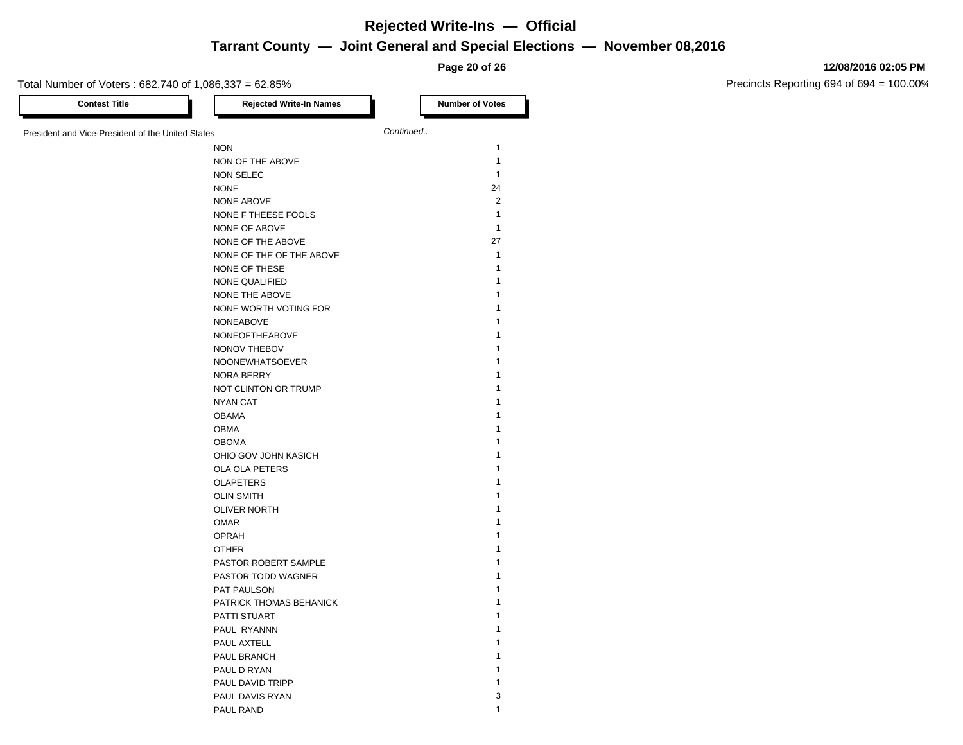**Page 20 of 26**

#### **12/08/2016 02:05 PM**

| <b>Contest Title</b>                              | <b>Rejected Write-In Names</b> | <b>Number of Votes</b> |
|---------------------------------------------------|--------------------------------|------------------------|
| President and Vice-President of the United States |                                | Continued              |
|                                                   | <b>NON</b>                     | $\mathbf{1}$           |
|                                                   | NON OF THE ABOVE               | $\mathbf{1}$           |
|                                                   | <b>NON SELEC</b>               | $\mathbf{1}$           |
|                                                   | <b>NONE</b>                    | 24                     |
|                                                   | <b>NONE ABOVE</b>              | $\sqrt{2}$             |
|                                                   | NONE F THEESE FOOLS            | 1                      |
|                                                   | NONE OF ABOVE                  | $\mathbf{1}$           |
|                                                   | NONE OF THE ABOVE              | 27                     |
|                                                   | NONE OF THE OF THE ABOVE       | $\mathbf{1}$           |
|                                                   | NONE OF THESE                  | 1                      |
|                                                   | NONE QUALIFIED                 | 1                      |
|                                                   | NONE THE ABOVE                 | 1                      |
|                                                   | NONE WORTH VOTING FOR          | 1                      |
|                                                   | NONEABOVE                      | 1                      |
|                                                   | <b>NONEOFTHEABOVE</b>          | 1                      |
|                                                   | NONOV THEBOV                   | 1                      |
|                                                   | NOONEWHATSOEVER                | 1                      |
|                                                   | NORA BERRY                     | 1                      |
|                                                   | NOT CLINTON OR TRUMP           | 1                      |
|                                                   | <b>NYAN CAT</b>                | 1                      |
|                                                   | <b>OBAMA</b>                   | 1                      |
|                                                   | <b>OBMA</b>                    | 1                      |
|                                                   | <b>OBOMA</b>                   | 1                      |
|                                                   | OHIO GOV JOHN KASICH           | 1                      |
|                                                   | OLA OLA PETERS                 | 1                      |
|                                                   | <b>OLAPETERS</b>               | 1                      |
|                                                   | <b>OLIN SMITH</b>              | 1                      |
|                                                   | <b>OLIVER NORTH</b>            | 1                      |
|                                                   | <b>OMAR</b>                    | 1                      |
|                                                   | <b>OPRAH</b>                   | 1                      |
|                                                   | <b>OTHER</b>                   | 1                      |
|                                                   | PASTOR ROBERT SAMPLE           | 1                      |
|                                                   | PASTOR TODD WAGNER             | 1                      |
|                                                   | PAT PAULSON                    | 1                      |
|                                                   | PATRICK THOMAS BEHANICK        | 1                      |
|                                                   | PATTI STUART                   | 1                      |
|                                                   | PAUL RYANNN                    | 1                      |
|                                                   | PAUL AXTELL                    | 1                      |
|                                                   | PAUL BRANCH                    | 1                      |
|                                                   | PAUL D RYAN                    | 1                      |
|                                                   | PAUL DAVID TRIPP               | 1                      |
|                                                   | PAUL DAVIS RYAN                | 3                      |
|                                                   | PAUL RAND                      | 1                      |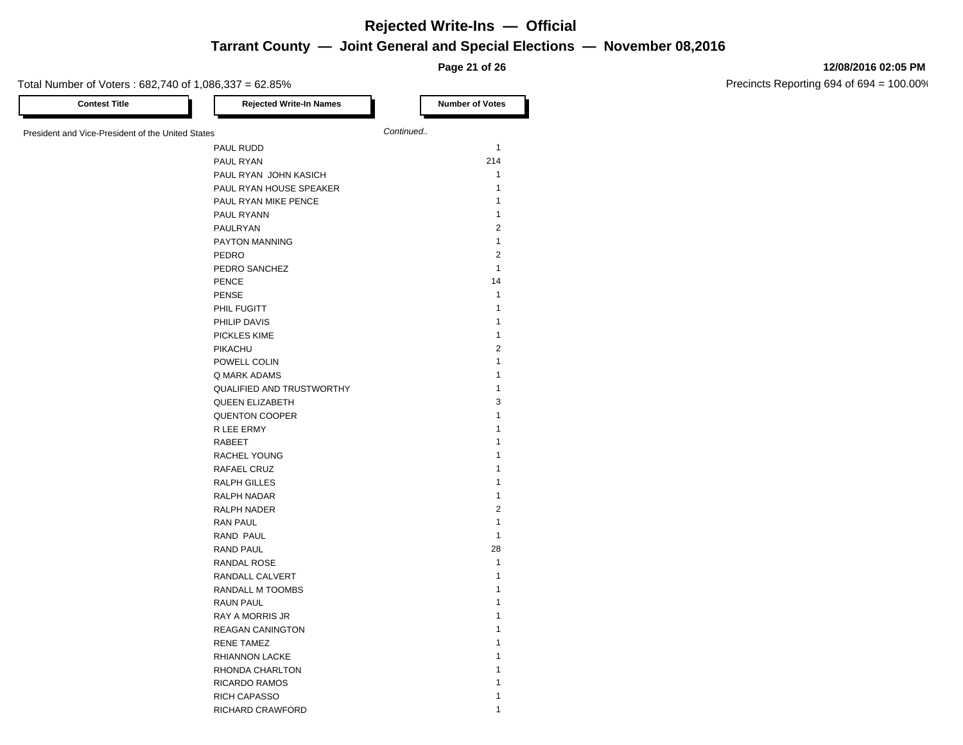**Page 21 of 26**

#### **12/08/2016 02:05 PM**

| <b>Contest Title</b>                              | <b>Rejected Write-In Names</b> | <b>Number of Votes</b> |
|---------------------------------------------------|--------------------------------|------------------------|
| President and Vice-President of the United States |                                | Continued              |
|                                                   | PAUL RUDD                      | $\mathbf{1}$           |
|                                                   | PAUL RYAN                      | 214                    |
|                                                   | PAUL RYAN JOHN KASICH          | 1                      |
|                                                   | PAUL RYAN HOUSE SPEAKER        | $\mathbf{1}$           |
|                                                   | PAUL RYAN MIKE PENCE           | 1                      |
|                                                   | PAUL RYANN                     | 1                      |
|                                                   | PAULRYAN                       | 2                      |
|                                                   | PAYTON MANNING                 | $\mathbf{1}$           |
|                                                   | PEDRO                          | 2                      |
|                                                   | PEDRO SANCHEZ                  | $\mathbf{1}$           |
|                                                   | <b>PENCE</b>                   | 14                     |
|                                                   | <b>PENSE</b>                   | $\mathbf{1}$           |
|                                                   | PHIL FUGITT                    | 1                      |
|                                                   | PHILIP DAVIS                   | 1                      |
|                                                   | <b>PICKLES KIME</b>            | 1                      |
|                                                   | PIKACHU                        | $\overline{2}$         |
|                                                   | POWELL COLIN                   | 1                      |
|                                                   | Q MARK ADAMS                   | 1                      |
|                                                   | QUALIFIED AND TRUSTWORTHY      | 1                      |
|                                                   | <b>QUEEN ELIZABETH</b>         | 3                      |
|                                                   | <b>QUENTON COOPER</b>          | 1                      |
|                                                   | R LEE ERMY                     | 1                      |
|                                                   | RABEET                         | 1                      |
|                                                   | RACHEL YOUNG                   | 1                      |
|                                                   |                                | 1                      |
|                                                   | RAFAEL CRUZ                    | 1                      |
|                                                   | RALPH GILLES                   | 1                      |
|                                                   | RALPH NADAR                    | $\overline{c}$         |
|                                                   | RALPH NADER                    |                        |
|                                                   | <b>RAN PAUL</b>                | $\mathbf{1}$           |
|                                                   | RAND PAUL                      | 1                      |
|                                                   | <b>RAND PAUL</b>               | 28                     |
|                                                   | RANDAL ROSE                    | 1                      |
|                                                   | RANDALL CALVERT                | 1                      |
|                                                   | RANDALL M TOOMBS               | 1                      |
|                                                   | <b>RAUN PAUL</b>               | 1                      |
|                                                   | <b>RAY A MORRIS JR</b>         | 1                      |
|                                                   | <b>REAGAN CANINGTON</b>        | 1                      |
|                                                   | <b>RENE TAMEZ</b>              | 1                      |
|                                                   | RHIANNON LACKE                 | 1                      |
|                                                   | RHONDA CHARLTON                | 1                      |
|                                                   | <b>RICARDO RAMOS</b>           | 1                      |
|                                                   | RICH CAPASSO                   | 1                      |
|                                                   | RICHARD CRAWFORD               | 1                      |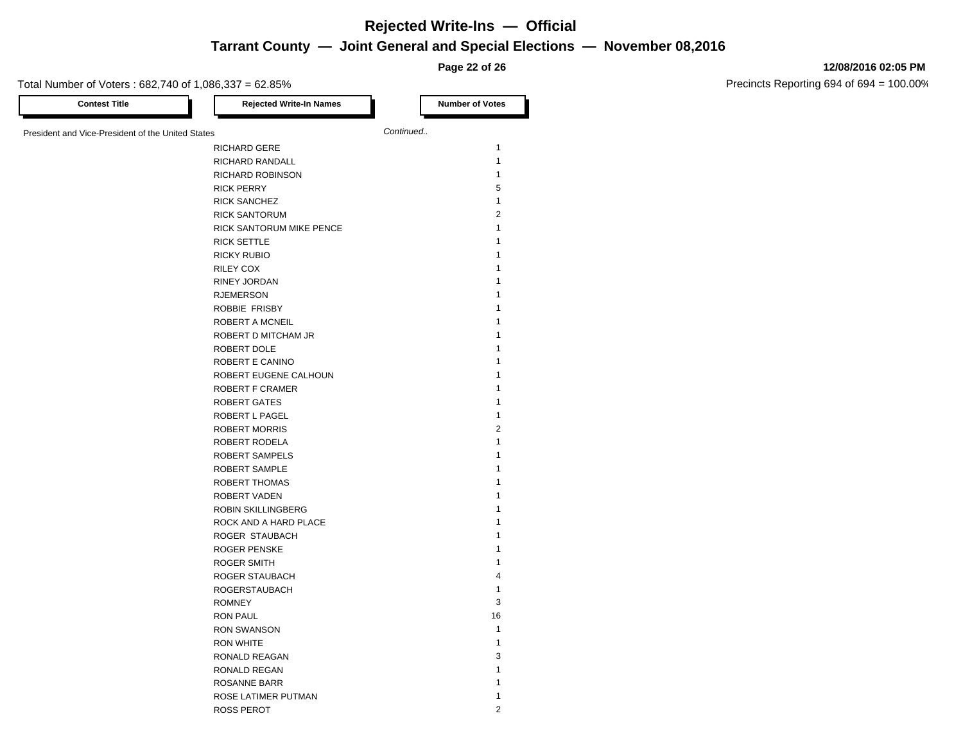**Page 22 of 26**

Total Number of Voters : 682,740 of 1,086,337 = 62.85%

| <b>Contest Title</b>                              | <b>Rejected Write-In Names</b>               |           | <b>Number of Votes</b> |
|---------------------------------------------------|----------------------------------------------|-----------|------------------------|
| President and Vice-President of the United States |                                              | Continued |                        |
|                                                   | <b>RICHARD GERE</b>                          |           | $\mathbf{1}$           |
|                                                   | RICHARD RANDALL                              |           | $\mathbf{1}$           |
|                                                   | RICHARD ROBINSON                             |           | $\mathbf{1}$           |
|                                                   | <b>RICK PERRY</b>                            |           | 5                      |
|                                                   | <b>RICK SANCHEZ</b>                          |           | $\mathbf{1}$           |
|                                                   | <b>RICK SANTORUM</b>                         |           | $\overline{2}$         |
|                                                   | RICK SANTORUM MIKE PENCE                     |           | $\mathbf{1}$           |
|                                                   | <b>RICK SETTLE</b>                           |           | $\mathbf{1}$           |
|                                                   | RICKY RUBIO                                  |           | $\mathbf{1}$           |
|                                                   | <b>RILEY COX</b>                             |           | $\mathbf{1}$           |
|                                                   | RINEY JORDAN                                 |           | $\mathbf{1}$           |
|                                                   | <b>RJEMERSON</b>                             |           | $\mathbf{1}$           |
|                                                   | ROBBIE FRISBY                                |           | $\mathbf{1}$           |
|                                                   | ROBERT A MCNEIL                              |           | $\mathbf{1}$           |
|                                                   | ROBERT D MITCHAM JR                          |           | 1                      |
|                                                   | ROBERT DOLE                                  |           | $\mathbf{1}$           |
|                                                   | ROBERT E CANINO                              |           | $\mathbf{1}$           |
|                                                   | ROBERT EUGENE CALHOUN                        |           | $\mathbf{1}$           |
|                                                   |                                              |           | $\mathbf{1}$           |
|                                                   | <b>ROBERT F CRAMER</b>                       |           | $\mathbf{1}$           |
|                                                   | <b>ROBERT GATES</b><br><b>ROBERT L PAGEL</b> |           | $\mathbf{1}$           |
|                                                   |                                              |           | $\overline{2}$         |
|                                                   | <b>ROBERT MORRIS</b>                         |           | $\mathbf{1}$           |
|                                                   | ROBERT RODELA                                |           | $\mathbf{1}$           |
|                                                   | ROBERT SAMPELS                               |           |                        |
|                                                   | ROBERT SAMPLE                                |           | $\mathbf{1}$           |
|                                                   | ROBERT THOMAS                                |           | $\mathbf{1}$           |
|                                                   | ROBERT VADEN                                 |           | 1                      |
|                                                   | <b>ROBIN SKILLINGBERG</b>                    |           | $\mathbf{1}$           |
|                                                   | ROCK AND A HARD PLACE                        |           | $\mathbf{1}$           |
|                                                   | ROGER STAUBACH                               |           | 1                      |
|                                                   | <b>ROGER PENSKE</b>                          |           | $\mathbf{1}$           |
|                                                   | <b>ROGER SMITH</b>                           |           | $\mathbf{1}$           |
|                                                   | ROGER STAUBACH                               |           | 4                      |
|                                                   | <b>ROGERSTAUBACH</b>                         |           | $\mathbf{1}$           |
|                                                   | <b>ROMNEY</b>                                |           | 3                      |
|                                                   | <b>RON PAUL</b>                              |           | 16                     |
|                                                   | <b>RON SWANSON</b>                           |           | $\mathbf{1}$           |
|                                                   | <b>RON WHITE</b>                             |           | $\mathbf{1}$           |
|                                                   | RONALD REAGAN                                |           | 3                      |
|                                                   | RONALD REGAN                                 |           | $\mathbf{1}$           |
|                                                   | <b>ROSANNE BARR</b>                          |           | 1                      |
|                                                   | ROSE LATIMER PUTMAN                          |           | $\mathbf{1}$           |

ROSS PEROT 2

#### **12/08/2016 02:05 PM**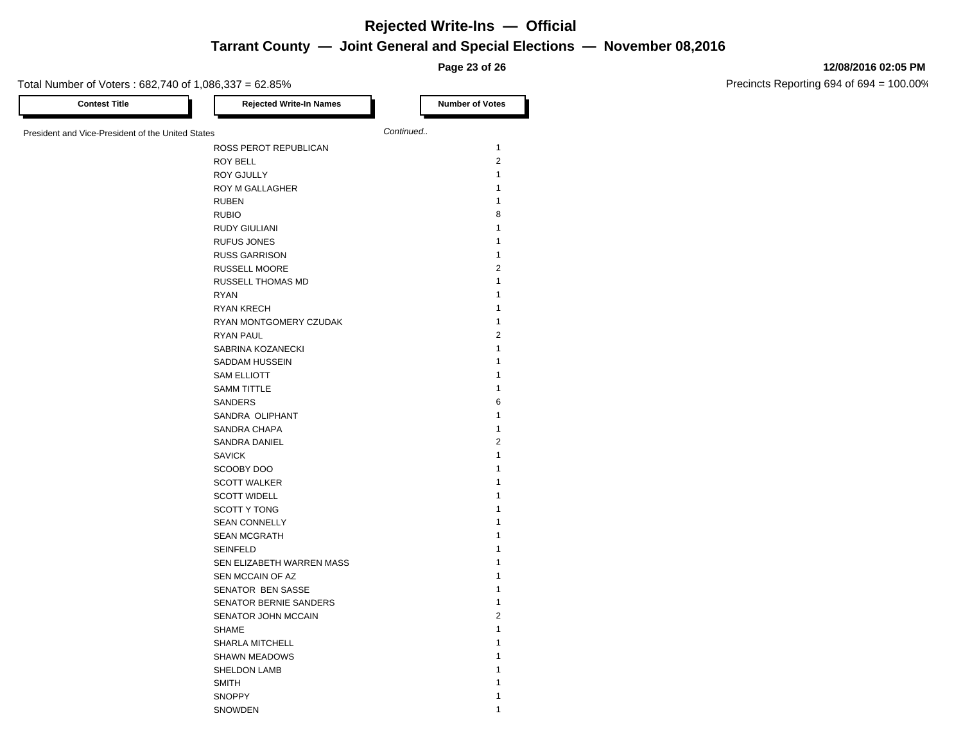**Page 23 of 26**

#### **12/08/2016 02:05 PM**

Precincts Reporting 694 of 694 = 100.00%

Total Number of Voters : 682,740 of 1,086,337 = 62.85% **Contest Title Rejected Write-In Names Number of Votes** President and Vice-President of the United States *Continued..* ROSS PEROT REPUBLICAN 1 ROY BELL **2** ROY GJULLY 1 ROY M GALLAGHER 1 RUBEN 1988 – STATISTICS EN STATISTICS EN STATISTICS EN STATISTICS EN STATISTICS EN STATISTICS EN STATISTICS EN RUBIO 8 RUDY GIULIANI 1 RUFUS JONES 1 RUSS GARRISON 1 RUSSELL MOORE 2 RUSSELL THOMAS MD 1 RYAN 1 RYAN KRECH 1 RYAN MONTGOMERY CZUDAK 1 RYAN PAUL 2 SABRINA KOZANECKI 1999 U SABRINA KOZANECKI 1999 U SABRINA 1999 U SABRINA KOZANECKI 1999 U SABRINA U SABRINA U S SADDAM HUSSEIN 1 SAM ELLIOTT 1 SAMM TITTLE 1 SANDERS 6 SANDRA OLIPHANT 1 SANDRA CHAPA 1 SANDRA DANIEL 2 SAVICK 1 SCOOBY DOO 1 SCOTT WALKER 1 SCOTT WIDELL 1 SCOTT Y TONG 1 SEAN CONNELLY 1 SEAN MCGRATH SEINFELD 1 SEN ELIZABETH WARREN MASS 1 SEN MCCAIN OF AZ SENATOR BEN SASSE 1 SENATOR BERNIE SANDERS 1 SENATOR JOHN MCCAIN 2 SHAME 1 SHARLA MITCHELL 1 SHAWN MEADOWS 1 SHELDON LAMB 1 SMITH 2001 1 2002 1 2003 1 2004 1 2005 2 2006 2 2007 2 2006 2 2007 2 2008 2 2007 2 2007 2 2008 2 2007 2 2008 2 2007 2 2008 2 2007 2 2008 2 2007 2 2007 2 2008 2 2007 2 2008 2 2007 2 2008 2 2007 2 2007 2 2008 2 2007 2 2008 2 SNOPPY 1

SNOWDEN 1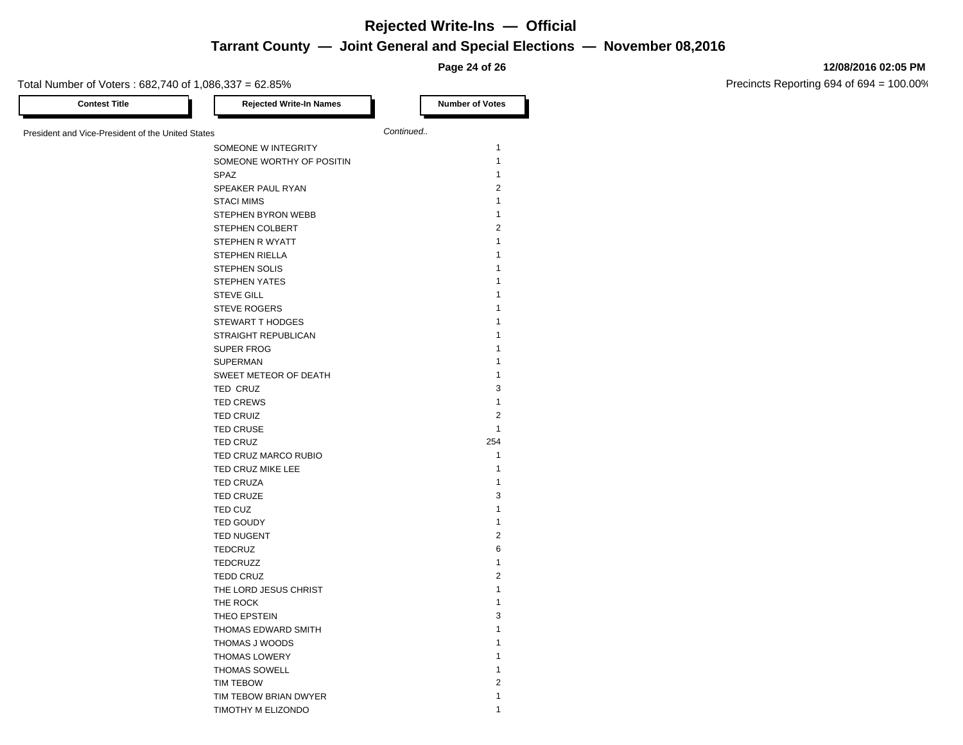**Page 24 of 26**

#### Total Number of Voters : 682,740 of 1,086,337 = 62.85%

**12/08/2016 02:05 PM**

| <b>Contest Title</b>                              | <b>Rejected Write-In Names</b> |           | <b>Number of Votes</b>  |
|---------------------------------------------------|--------------------------------|-----------|-------------------------|
| President and Vice-President of the United States |                                | Continued |                         |
|                                                   | SOMEONE W INTEGRITY            |           | $\mathbf{1}$            |
|                                                   | SOMEONE WORTHY OF POSITIN      |           | $\mathbf{1}$            |
|                                                   | SPAZ                           |           | $\mathbf{1}$            |
|                                                   | SPEAKER PAUL RYAN              |           | $\overline{2}$          |
|                                                   | <b>STACI MIMS</b>              |           | $\mathbf{1}$            |
|                                                   | STEPHEN BYRON WEBB             |           | $\mathbf{1}$            |
|                                                   | STEPHEN COLBERT                |           | 2                       |
|                                                   | STEPHEN R WYATT                |           | $\mathbf{1}$            |
|                                                   | <b>STEPHEN RIELLA</b>          |           | $\mathbf{1}$            |
|                                                   | <b>STEPHEN SOLIS</b>           |           | $\mathbf{1}$            |
|                                                   | <b>STEPHEN YATES</b>           |           | $\mathbf{1}$            |
|                                                   | <b>STEVE GILL</b>              |           | $\mathbf{1}$            |
|                                                   | <b>STEVE ROGERS</b>            |           | $\mathbf{1}$            |
|                                                   | STEWART T HODGES               |           | $\mathbf{1}$            |
|                                                   | STRAIGHT REPUBLICAN            |           | 1                       |
|                                                   | SUPER FROG                     |           | $\mathbf{1}$            |
|                                                   | <b>SUPERMAN</b>                |           | $\mathbf{1}$            |
|                                                   | SWEET METEOR OF DEATH          |           | $\mathbf{1}$            |
|                                                   |                                |           | 3                       |
|                                                   | TED CRUZ                       |           | $\mathbf{1}$            |
|                                                   | <b>TED CREWS</b>               |           |                         |
|                                                   | <b>TED CRUIZ</b>               |           | $\overline{2}$          |
|                                                   | <b>TED CRUSE</b>               |           | $\mathbf{1}$            |
|                                                   | TED CRUZ                       |           | 254                     |
|                                                   | TED CRUZ MARCO RUBIO           |           | $\mathbf{1}$            |
|                                                   | TED CRUZ MIKE LEE              |           | $\mathbf{1}$            |
|                                                   | <b>TED CRUZA</b>               |           | $\mathbf{1}$            |
|                                                   | <b>TED CRUZE</b>               |           | 3                       |
|                                                   | TED CUZ                        |           | $\mathbf{1}$            |
|                                                   | TED GOUDY                      |           | $\mathbf{1}$            |
|                                                   | <b>TED NUGENT</b>              |           | $\overline{\mathbf{c}}$ |
|                                                   | <b>TEDCRUZ</b>                 |           | 6                       |
|                                                   | <b>TEDCRUZZ</b>                |           | $\mathbf{1}$            |
|                                                   | <b>TEDD CRUZ</b>               |           | $\overline{2}$          |
|                                                   | THE LORD JESUS CHRIST          |           | $\mathbf{1}$            |
|                                                   | THE ROCK                       |           | $\mathbf{1}$            |
|                                                   | THEO EPSTEIN                   |           | 3                       |
|                                                   | THOMAS EDWARD SMITH            |           | $\mathbf{1}$            |
|                                                   | THOMAS J WOODS                 |           | $\mathbf{1}$            |
|                                                   | <b>THOMAS LOWERY</b>           |           | $\mathbf{1}$            |
|                                                   | <b>THOMAS SOWELL</b>           |           | $\mathbf{1}$            |
|                                                   | <b>TIM TEBOW</b>               |           | $\overline{2}$          |
|                                                   | TIM TEBOW BRIAN DWYER          |           | $\mathbf{1}$            |
|                                                   | TIMOTHY M ELIZONDO             |           | $\mathbf{1}$            |
|                                                   |                                |           |                         |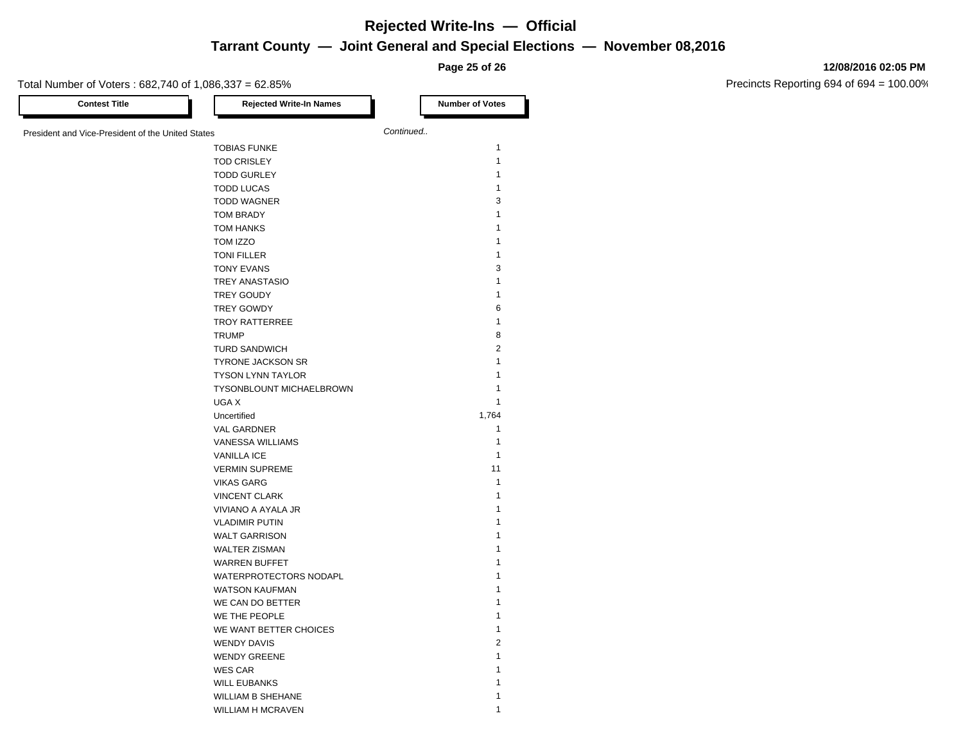**Page 25 of 26**

#### Total Number of Voters : 682,740 of 1,086,337 = 62.85%

**12/08/2016 02:05 PM**

| <b>Contest Title</b>                              | <b>Rejected Write-In Names</b> |           | <b>Number of Votes</b>  |
|---------------------------------------------------|--------------------------------|-----------|-------------------------|
| President and Vice-President of the United States |                                | Continued |                         |
|                                                   | <b>TOBIAS FUNKE</b>            |           | $\mathbf{1}$            |
|                                                   | <b>TOD CRISLEY</b>             |           | $\mathbf{1}$            |
|                                                   | <b>TODD GURLEY</b>             |           | $\mathbf{1}$            |
|                                                   | <b>TODD LUCAS</b>              |           | $\mathbf{1}$            |
|                                                   | <b>TODD WAGNER</b>             |           | 3                       |
|                                                   | <b>TOM BRADY</b>               |           | $\mathbf{1}$            |
|                                                   | <b>TOM HANKS</b>               |           | $\mathbf{1}$            |
|                                                   | TOM IZZO                       |           | $\mathbf{1}$            |
|                                                   | TONI FILLER                    |           | $\mathbf{1}$            |
|                                                   | <b>TONY EVANS</b>              |           | 3                       |
|                                                   | <b>TREY ANASTASIO</b>          |           | $\mathbf{1}$            |
|                                                   | TREY GOUDY                     |           | $\mathbf{1}$            |
|                                                   | TREY GOWDY                     |           | 6                       |
|                                                   | <b>TROY RATTERREE</b>          |           | $\mathbf{1}$            |
|                                                   | <b>TRUMP</b>                   |           | 8                       |
|                                                   | <b>TURD SANDWICH</b>           |           | $\overline{2}$          |
|                                                   | TYRONE JACKSON SR              |           | $\mathbf{1}$            |
|                                                   | <b>TYSON LYNN TAYLOR</b>       |           | $\mathbf{1}$            |
|                                                   | TYSONBLOUNT MICHAELBROWN       |           | $\mathbf{1}$            |
|                                                   | UGA X                          |           | $\mathbf{1}$            |
|                                                   | Uncertified                    |           | 1,764                   |
|                                                   | <b>VAL GARDNER</b>             |           | $\mathbf{1}$            |
|                                                   | VANESSA WILLIAMS               |           | $\mathbf{1}$            |
|                                                   | <b>VANILLA ICE</b>             |           | $\mathbf{1}$            |
|                                                   | <b>VERMIN SUPREME</b>          |           | 11                      |
|                                                   | <b>VIKAS GARG</b>              |           | $\mathbf{1}$            |
|                                                   | <b>VINCENT CLARK</b>           |           | $\mathbf{1}$            |
|                                                   | VIVIANO A AYALA JR             |           | $\mathbf{1}$            |
|                                                   | <b>VLADIMIR PUTIN</b>          |           | $\mathbf{1}$            |
|                                                   | <b>WALT GARRISON</b>           |           | $\mathbf{1}$            |
|                                                   | <b>WALTER ZISMAN</b>           |           | $\mathbf{1}$            |
|                                                   | <b>WARREN BUFFET</b>           |           | $\mathbf{1}$            |
|                                                   | WATERPROTECTORS NODAPL         |           | $\mathbf{1}$            |
|                                                   | <b>WATSON KAUFMAN</b>          |           | $\mathbf{1}$            |
|                                                   | WE CAN DO BETTER               |           | $\mathbf{1}$            |
|                                                   | WE THE PEOPLE                  |           | $\mathbf{1}$            |
|                                                   | WE WANT BETTER CHOICES         |           | $\mathbf{1}$            |
|                                                   | <b>WENDY DAVIS</b>             |           | $\overline{\mathbf{c}}$ |
|                                                   | <b>WENDY GREENE</b>            |           | $\mathbf{1}$            |
|                                                   | <b>WES CAR</b>                 |           | $\mathbf{1}$            |
|                                                   | <b>WILL EUBANKS</b>            |           | 1                       |
|                                                   | <b>WILLIAM B SHEHANE</b>       |           | $\mathbf{1}$            |
|                                                   | <b>WILLIAM H MCRAVEN</b>       |           | $\mathbf{1}$            |